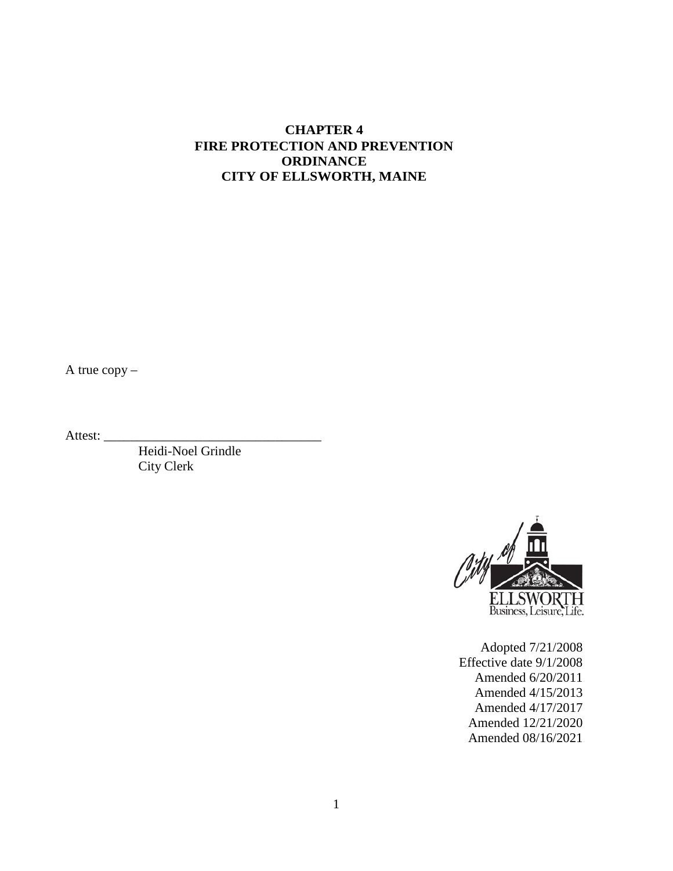### **CHAPTER 4 FIRE PROTECTION AND PREVENTION ORDINANCE CITY OF ELLSWORTH, MAINE**

A true copy –

Attest:

Heidi-Noel Grindle City Clerk



Adopted 7/21/2008 Effective date 9/1/2008 Amended 6/20/2011 Amended 4/15/2013 Amended 4/17/2017 Amended 12/21/2020 Amended 08/16/2021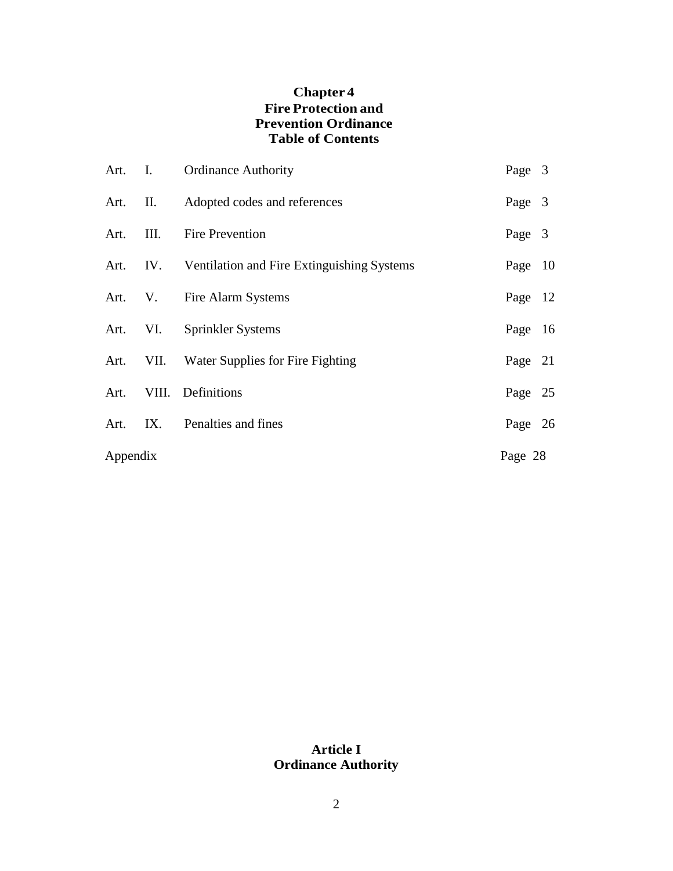# **Chapter 4 Fire Protection and Prevention Ordinance Table of Contents**

|          |  | Art. I. Ordinance Authority                         | Page 3  |  |
|----------|--|-----------------------------------------------------|---------|--|
|          |  | Art. II. Adopted codes and references               | Page 3  |  |
|          |  | Art. III. Fire Prevention                           | Page 3  |  |
|          |  | Art. IV. Ventilation and Fire Extinguishing Systems | Page 10 |  |
|          |  | Art. V. Fire Alarm Systems                          | Page 12 |  |
|          |  | Art. VI. Sprinkler Systems                          | Page 16 |  |
|          |  | Art. VII. Water Supplies for Fire Fighting          | Page 21 |  |
|          |  | Art. VIII. Definitions                              | Page 25 |  |
|          |  | Art. IX. Penalties and fines                        | Page 26 |  |
| Appendix |  |                                                     | Page 28 |  |

# **Article I Ordinance Authority**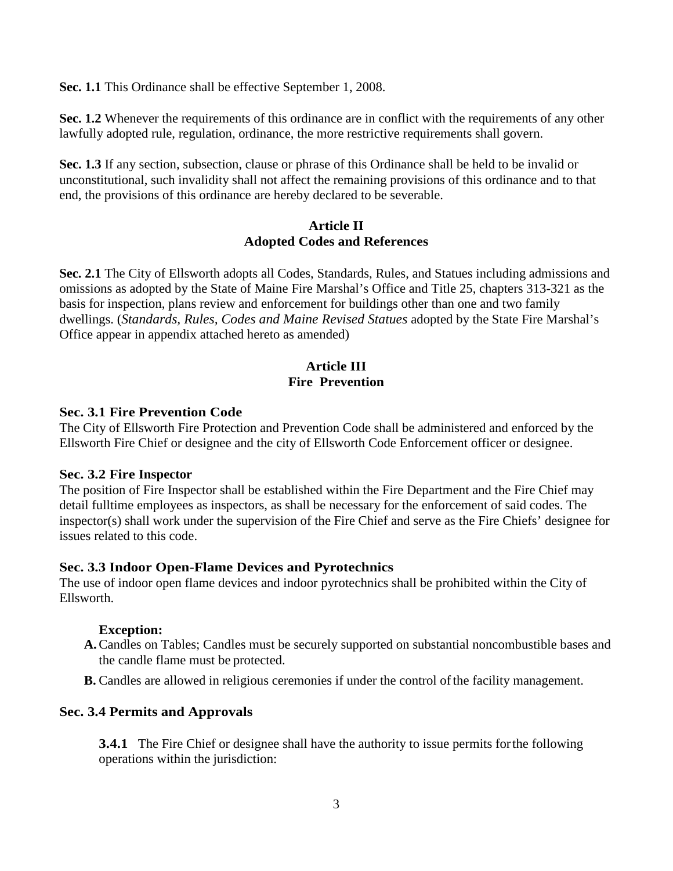**Sec. 1.1** This Ordinance shall be effective September 1, 2008.

**Sec. 1.2** Whenever the requirements of this ordinance are in conflict with the requirements of any other lawfully adopted rule, regulation, ordinance, the more restrictive requirements shall govern.

**Sec. 1.3** If any section, subsection, clause or phrase of this Ordinance shall be held to be invalid or unconstitutional, such invalidity shall not affect the remaining provisions of this ordinance and to that end, the provisions of this ordinance are hereby declared to be severable.

#### **Article II Adopted Codes and References**

**Sec. 2.1** The City of Ellsworth adopts all Codes, Standards, Rules, and Statues including admissions and omissions as adopted by the State of Maine Fire Marshal's Office and Title 25, chapters 313-321 as the basis for inspection, plans review and enforcement for buildings other than one and two family dwellings. (*Standards, Rules, Codes and Maine Revised Statues* adopted by the State Fire Marshal's Office appear in appendix attached hereto as amended)

### **Article III Fire Prevention**

#### **Sec. 3.1 Fire Prevention Code**

The City of Ellsworth Fire Protection and Prevention Code shall be administered and enforced by the Ellsworth Fire Chief or designee and the city of Ellsworth Code Enforcement officer or designee.

#### **Sec. 3.2 Fire Inspector**

The position of Fire Inspector shall be established within the Fire Department and the Fire Chief may detail fulltime employees as inspectors, as shall be necessary for the enforcement of said codes. The inspector(s) shall work under the supervision of the Fire Chief and serve as the Fire Chiefs' designee for issues related to this code.

#### **Sec. 3.3 Indoor Open-Flame Devices and Pyrotechnics**

The use of indoor open flame devices and indoor pyrotechnics shall be prohibited within the City of Ellsworth.

### **Exception:**

- **A.**Candles on Tables; Candles must be securely supported on substantial noncombustible bases and the candle flame must be protected.
- **B.** Candles are allowed in religious ceremonies if under the control of the facility management.

### **Sec. 3.4 Permits and Approvals**

**3.4.1** The Fire Chief or designee shall have the authority to issue permits for the following operations within the jurisdiction: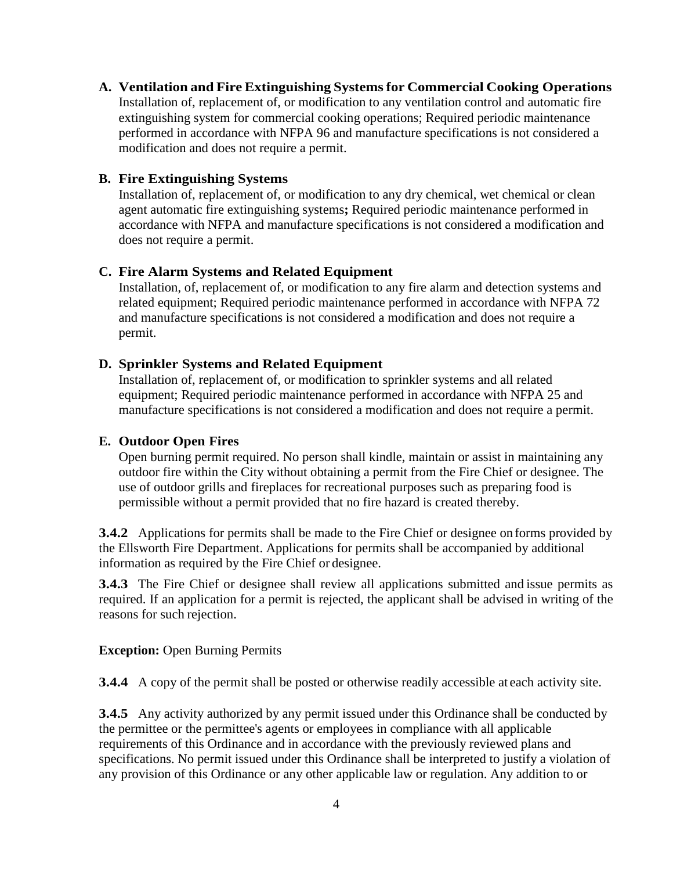**A. Ventilation and Fire Extinguishing Systemsfor Commercial Cooking Operations** Installation of, replacement of, or modification to any ventilation control and automatic fire extinguishing system for commercial cooking operations; Required periodic maintenance performed in accordance with NFPA 96 and manufacture specifications is not considered a modification and does not require a permit.

#### **B. Fire Extinguishing Systems**

Installation of, replacement of, or modification to any dry chemical, wet chemical or clean agent automatic fire extinguishing systems**;** Required periodic maintenance performed in accordance with NFPA and manufacture specifications is not considered a modification and does not require a permit.

#### **C. Fire Alarm Systems and Related Equipment**

Installation, of, replacement of, or modification to any fire alarm and detection systems and related equipment; Required periodic maintenance performed in accordance with NFPA 72 and manufacture specifications is not considered a modification and does not require a permit.

#### **D. Sprinkler Systems and Related Equipment**

Installation of, replacement of, or modification to sprinkler systems and all related equipment; Required periodic maintenance performed in accordance with NFPA 25 and manufacture specifications is not considered a modification and does not require a permit.

#### **E. Outdoor Open Fires**

Open burning permit required. No person shall kindle, maintain or assist in maintaining any outdoor fire within the City without obtaining a permit from the Fire Chief or designee. The use of outdoor grills and fireplaces for recreational purposes such as preparing food is permissible without a permit provided that no fire hazard is created thereby.

**3.4.2** Applications for permits shall be made to the Fire Chief or designee on forms provided by the Ellsworth Fire Department. Applications for permits shall be accompanied by additional information as required by the Fire Chief or designee.

**3.4.3** The Fire Chief or designee shall review all applications submitted and issue permits as required. If an application for a permit is rejected, the applicant shall be advised in writing of the reasons for such rejection.

#### **Exception:** Open Burning Permits

**3.4.4** A copy of the permit shall be posted or otherwise readily accessible at each activity site.

**3.4.5** Any activity authorized by any permit issued under this Ordinance shall be conducted by the permittee or the permittee's agents or employees in compliance with all applicable requirements of this Ordinance and in accordance with the previously reviewed plans and specifications. No permit issued under this Ordinance shall be interpreted to justify a violation of any provision of this Ordinance or any other applicable law or regulation. Any addition to or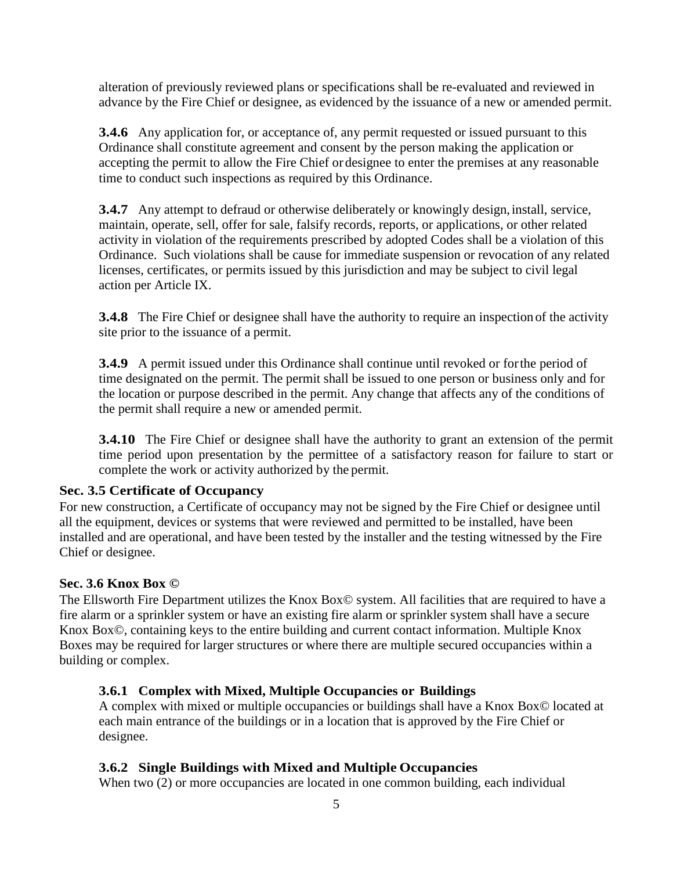alteration of previously reviewed plans or specifications shall be re-evaluated and reviewed in advance by the Fire Chief or designee, as evidenced by the issuance of a new or amended permit.

**3.4.6** Any application for, or acceptance of, any permit requested or issued pursuant to this Ordinance shall constitute agreement and consent by the person making the application or accepting the permit to allow the Fire Chief or designee to enter the premises at any reasonable time to conduct such inspections as required by this Ordinance.

**3.4.7** Any attempt to defraud or otherwise deliberately or knowingly design, install, service, maintain, operate, sell, offer for sale, falsify records, reports, or applications, or other related activity in violation of the requirements prescribed by adopted Codes shall be a violation of this Ordinance. Such violations shall be cause for immediate suspension or revocation of any related licenses, certificates, or permits issued by this jurisdiction and may be subject to civil legal action per Article IX.

**3.4.8** The Fire Chief or designee shall have the authority to require an inspection of the activity site prior to the issuance of a permit.

**3.4.9** A permit issued under this Ordinance shall continue until revoked or for the period of time designated on the permit. The permit shall be issued to one person or business only and for the location or purpose described in the permit. Any change that affects any of the conditions of the permit shall require a new or amended permit.

**3.4.10** The Fire Chief or designee shall have the authority to grant an extension of the permit time period upon presentation by the permittee of a satisfactory reason for failure to start or complete the work or activity authorized by the permit.

### **Sec. 3.5 Certificate of Occupancy**

For new construction, a Certificate of occupancy may not be signed by the Fire Chief or designee until all the equipment, devices or systems that were reviewed and permitted to be installed, have been installed and are operational, and have been tested by the installer and the testing witnessed by the Fire Chief or designee.

#### **Sec. 3.6 Knox Box ©**

The Ellsworth Fire Department utilizes the Knox Box© system. All facilities that are required to have a fire alarm or a sprinkler system or have an existing fire alarm or sprinkler system shall have a secure Knox Box©, containing keys to the entire building and current contact information. Multiple Knox Boxes may be required for larger structures or where there are multiple secured occupancies within a building or complex.

#### **3.6.1 Complex with Mixed, Multiple Occupancies or Buildings**

A complex with mixed or multiple occupancies or buildings shall have a Knox Box© located at each main entrance of the buildings or in a location that is approved by the Fire Chief or designee.

### **3.6.2 Single Buildings with Mixed and Multiple Occupancies**

When two (2) or more occupancies are located in one common building, each individual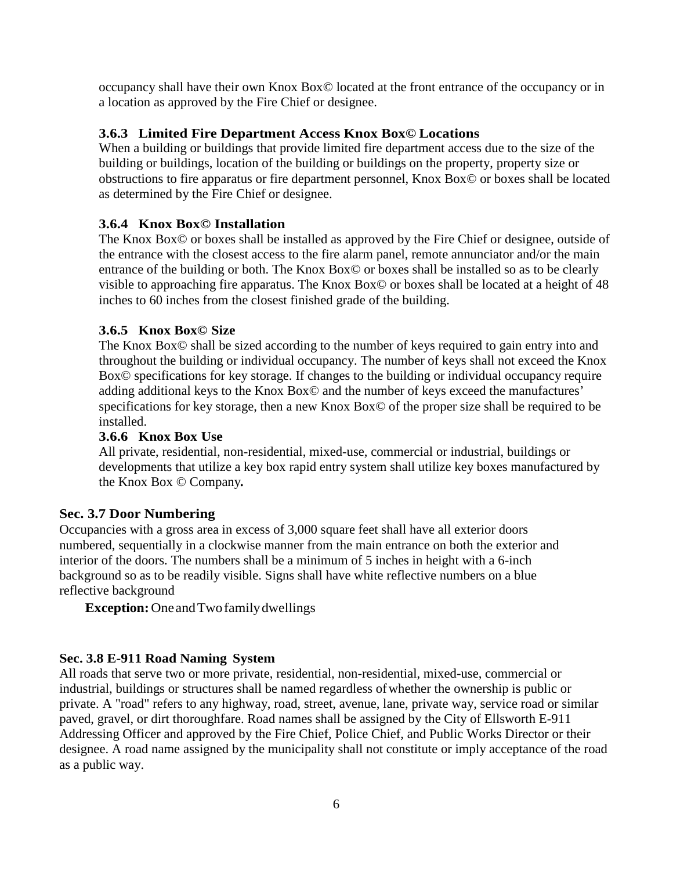occupancy shall have their own Knox Box© located at the front entrance of the occupancy or in a location as approved by the Fire Chief or designee.

## **3.6.3 Limited Fire Department Access Knox Box© Locations**

When a building or buildings that provide limited fire department access due to the size of the building or buildings, location of the building or buildings on the property, property size or obstructions to fire apparatus or fire department personnel, Knox Box© or boxes shall be located as determined by the Fire Chief or designee.

# **3.6.4 Knox Box© Installation**

The Knox Box© or boxes shall be installed as approved by the Fire Chief or designee, outside of the entrance with the closest access to the fire alarm panel, remote annunciator and/or the main entrance of the building or both. The Knox Box© or boxes shall be installed so as to be clearly visible to approaching fire apparatus. The Knox Box© or boxes shall be located at a height of 48 inches to 60 inches from the closest finished grade of the building.

### **3.6.5 Knox Box© Size**

The Knox Box© shall be sized according to the number of keys required to gain entry into and throughout the building or individual occupancy. The number of keys shall not exceed the Knox Box© specifications for key storage. If changes to the building or individual occupancy require adding additional keys to the Knox Box© and the number of keys exceed the manufactures' specifications for key storage, then a new Knox Box© of the proper size shall be required to be installed.

### **3.6.6 Knox Box Use**

All private, residential, non-residential, mixed-use, commercial or industrial, buildings or developments that utilize a key box rapid entry system shall utilize key boxes manufactured by the Knox Box © Company*.*

### **Sec. 3.7 Door Numbering**

Occupancies with a gross area in excess of 3,000 square feet shall have all exterior doors numbered, sequentially in a clockwise manner from the main entrance on both the exterior and interior of the doors. The numbers shall be a minimum of 5 inches in height with a 6-inch background so as to be readily visible. Signs shall have white reflective numbers on a blue reflective background

**Exception:**OneandTwofamilydwellings

### **Sec. 3.8 E-911 Road Naming System**

All roads that serve two or more private, residential, non-residential, mixed-use, commercial or industrial, buildings or structures shall be named regardless of whether the ownership is public or private. A "road" refers to any highway, road, street, avenue, lane, private way, service road or similar paved, gravel, or dirt thoroughfare. Road names shall be assigned by the City of Ellsworth E-911 Addressing Officer and approved by the Fire Chief, Police Chief, and Public Works Director or their designee. A road name assigned by the municipality shall not constitute or imply acceptance of the road as a public way.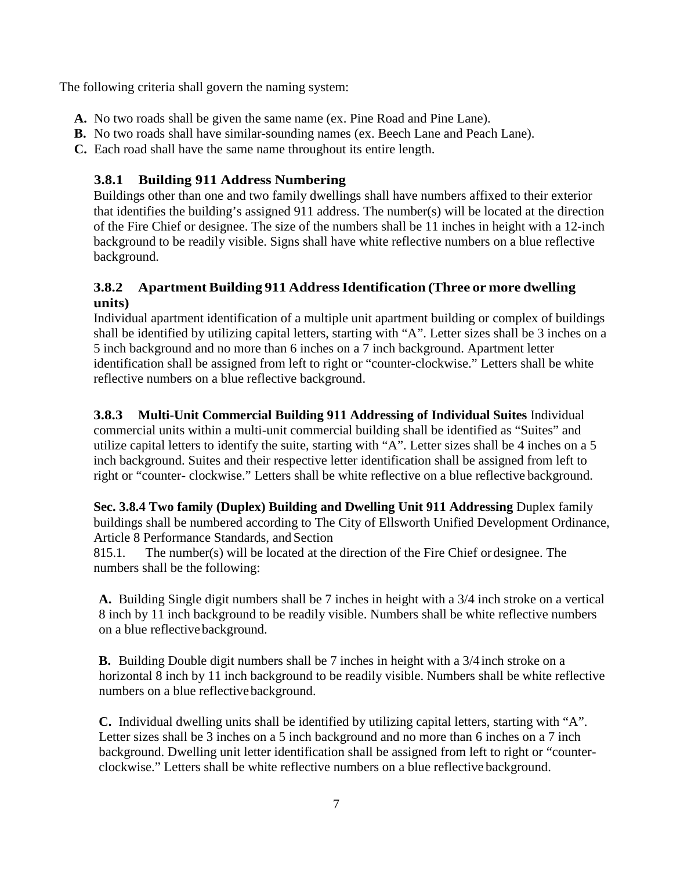The following criteria shall govern the naming system:

- **A.** No two roads shall be given the same name (ex. Pine Road and Pine Lane).
- **B.** No two roads shall have similar-sounding names (ex. Beech Lane and Peach Lane).
- **C.** Each road shall have the same name throughout its entire length.

## **3.8.1 Building 911 Address Numbering**

Buildings other than one and two family dwellings shall have numbers affixed to their exterior that identifies the building's assigned 911 address. The number(s) will be located at the direction of the Fire Chief or designee. The size of the numbers shall be 11 inches in height with a 12-inch background to be readily visible. Signs shall have white reflective numbers on a blue reflective background.

### **3.8.2 Apartment Building 911 AddressIdentification (Three or more dwelling units)**

Individual apartment identification of a multiple unit apartment building or complex of buildings shall be identified by utilizing capital letters, starting with "A". Letter sizes shall be 3 inches on a 5 inch background and no more than 6 inches on a 7 inch background. Apartment letter identification shall be assigned from left to right or "counter-clockwise." Letters shall be white reflective numbers on a blue reflective background.

#### **3.8.3 Multi-Unit Commercial Building 911 Addressing of Individual Suites** Individual

commercial units within a multi-unit commercial building shall be identified as "Suites" and utilize capital letters to identify the suite, starting with "A". Letter sizes shall be 4 inches on a 5 inch background. Suites and their respective letter identification shall be assigned from left to right or "counter- clockwise." Letters shall be white reflective on a blue reflective background.

#### **Sec. 3.8.4 Two family (Duplex) Building and Dwelling Unit 911 Addressing** Duplex family buildings shall be numbered according to The City of Ellsworth [Unified Development Ordinance,](http://cityofellsworthme.org/pdfs/ords/ord56_toc.pdf) Article 8 Performance Standards, and Section

815.1. The number(s) will be located at the direction of the Fire Chief or designee. The numbers shall be the following:

**A.** Building Single digit numbers shall be 7 inches in height with a 3/4 inch stroke on a vertical 8 inch by 11 inch background to be readily visible. Numbers shall be white reflective numbers on a blue reflective background.

**B.** Building Double digit numbers shall be 7 inches in height with a 3/4inch stroke on a horizontal 8 inch by 11 inch background to be readily visible. Numbers shall be white reflective numbers on a blue reflectivebackground.

**C.** Individual dwelling units shall be identified by utilizing capital letters, starting with "A". Letter sizes shall be 3 inches on a 5 inch background and no more than 6 inches on a 7 inch background. Dwelling unit letter identification shall be assigned from left to right or "counterclockwise." Letters shall be white reflective numbers on a blue reflective background.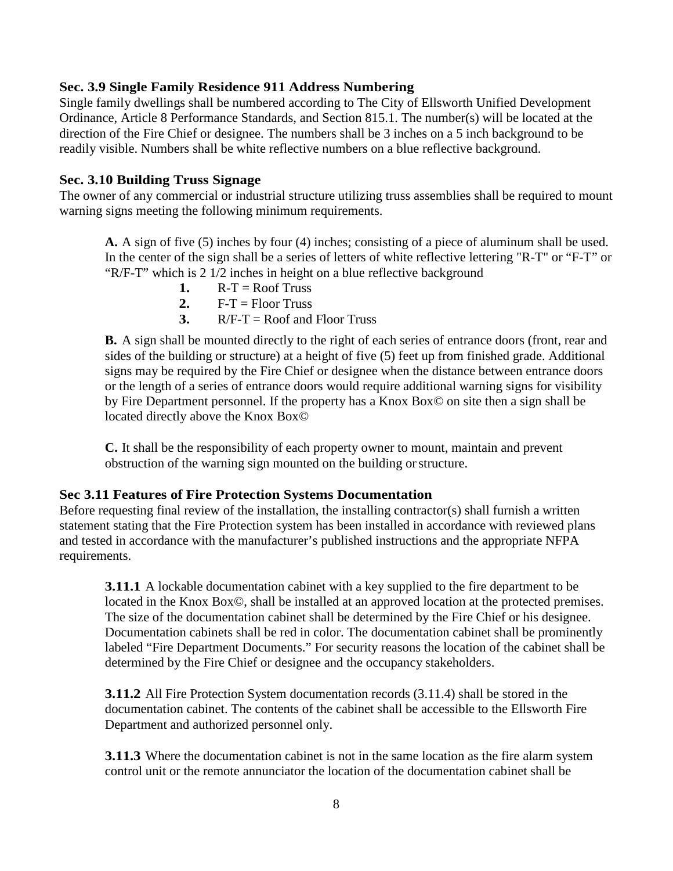#### **Sec. 3.9 Single Family Residence 911 Address Numbering**

Single family dwellings shall be numbered according to The City of Ellsworth [Unified](http://cityofellsworthme.org/pdfs/ords/ord56_toc.pdf) [Development](http://cityofellsworthme.org/pdfs/ords/ord56_toc.pdf)  [Ordinance,](http://cityofellsworthme.org/pdfs/ords/ord56_toc.pdf) Article 8 Performance Standards, and Section 815.1. The number(s) will be located at the direction of the Fire Chief or designee. The numbers shall be 3 inches on a 5 inch background to be readily visible. Numbers shall be white reflective numbers on a blue reflective background.

#### **Sec. 3.10 Building Truss Signage**

The owner of any commercial or industrial structure utilizing truss assemblies shall be required to mount warning signs meeting the following minimum requirements.

**A.** A sign of five (5) inches by four (4) inches; consisting of a piece of aluminum shall be used. In the center of the sign shall be a series of letters of white reflective lettering "R-T" or "F-T" or "R/F-T" which is 2 1/2 inches in height on a blue reflective background

- 1.  $R-T = Roof$  Truss
- 2.  $F-T = Floor Truss$
- **3.**  $R/F-T = Root$  and Floor Truss

**B.** A sign shall be mounted directly to the right of each series of entrance doors (front, rear and sides of the building or structure) at a height of five (5) feet up from finished grade. Additional signs may be required by the Fire Chief or designee when the distance between entrance doors or the length of a series of entrance doors would require additional warning signs for visibility by Fire Department personnel. If the property has a Knox Box© on site then a sign shall be located directly above the Knox Box©

**C.** It shall be the responsibility of each property owner to mount, maintain and prevent obstruction of the warning sign mounted on the building orstructure.

#### **Sec 3.11 Features of Fire Protection Systems Documentation**

Before requesting final review of the installation, the installing contractor(s) shall furnish a written statement stating that the Fire Protection system has been installed in accordance with reviewed plans and tested in accordance with the manufacturer's published instructions and the appropriate NFPA requirements.

**3.11.1** A lockable documentation cabinet with a key supplied to the fire department to be located in the Knox Box©, shall be installed at an approved location at the protected premises. The size of the documentation cabinet shall be determined by the Fire Chief or his designee. Documentation cabinets shall be red in color. The documentation cabinet shall be prominently labeled "Fire Department Documents." For security reasons the location of the cabinet shall be determined by the Fire Chief or designee and the occupancy stakeholders.

**3.11.2** All Fire Protection System documentation records (3.11.4) shall be stored in the documentation cabinet. The contents of the cabinet shall be accessible to the Ellsworth Fire Department and authorized personnel only.

**3.11.3** Where the documentation cabinet is not in the same location as the fire alarm system control unit or the remote annunciator the location of the documentation cabinet shall be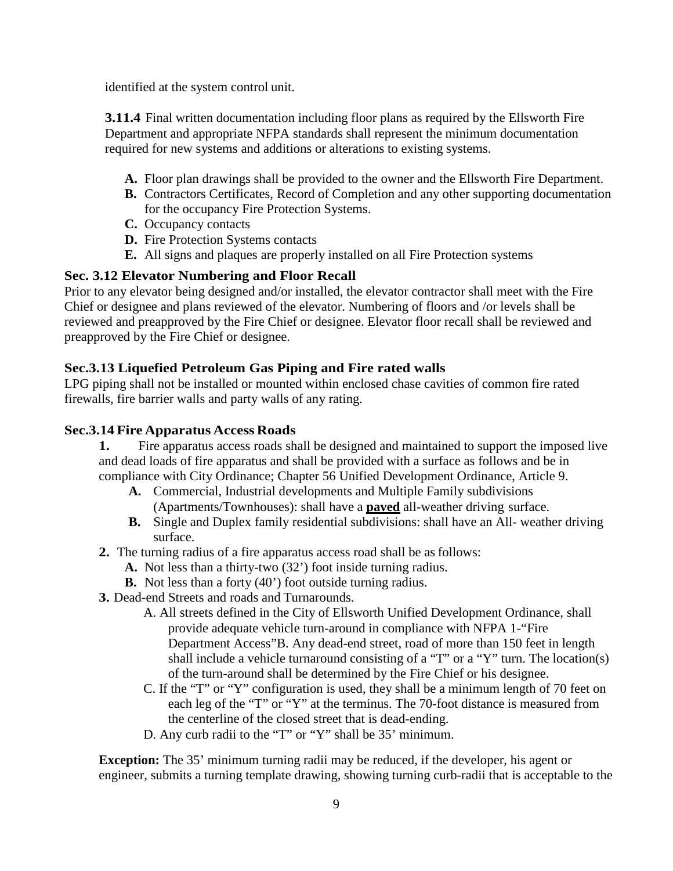identified at the system control unit.

**3.11.4** Final written documentation including floor plans as required by the Ellsworth Fire Department and appropriate NFPA standards shall represent the minimum documentation required for new systems and additions or alterations to existing systems.

- **A.** Floor plan drawings shall be provided to the owner and the Ellsworth Fire Department.
- **B.** Contractors Certificates, Record of Completion and any other supporting documentation for the occupancy Fire Protection Systems.
- **C.** Occupancy contacts
- **D.** Fire Protection Systems contacts
- **E.** All signs and plaques are properly installed on all Fire Protection systems

# **Sec. 3.12 Elevator Numbering and Floor Recall**

Prior to any elevator being designed and/or installed, the elevator contractor shall meet with the Fire Chief or designee and plans reviewed of the elevator. Numbering of floors and /or levels shall be reviewed and preapproved by the Fire Chief or designee. Elevator floor recall shall be reviewed and preapproved by the Fire Chief or designee.

# **Sec.3.13 Liquefied Petroleum Gas Piping and Fire rated walls**

LPG piping shall not be installed or mounted within enclosed chase cavities of common fire rated firewalls, fire barrier walls and party walls of any rating.

### **Sec.3.14 Fire Apparatus Access Roads**

**1.** Fire apparatus access roads shall be designed and maintained to support the imposed live and dead loads of fire apparatus and shall be provided with a surface as follows and be in compliance with City Ordinance; Chapter 56 Unified Development Ordinance, Article 9.

- **A.** Commercial, Industrial developments and Multiple Family subdivisions (Apartments/Townhouses): shall have a **paved** all-weather driving surface.
- **B.** Single and Duplex family residential subdivisions: shall have an All- weather driving surface.
- **2.** The turning radius of a fire apparatus access road shall be as follows:
	- **A.** Not less than a thirty-two (32') foot inside turning radius.
	- **B.** Not less than a forty (40') foot outside turning radius.
- **3.** Dead-end Streets and roads and Turnarounds.
	- A. All streets defined in the City of Ellsworth Unified Development Ordinance, shall provide adequate vehicle turn-around in compliance with NFPA 1-"Fire Department Access"B. Any dead-end street, road of more than 150 feet in length shall include a vehicle turnaround consisting of a "T" or a "Y" turn. The location(s) of the turn-around shall be determined by the Fire Chief or his designee.
	- C. If the "T" or "Y" configuration is used, they shall be a minimum length of 70 feet on each leg of the "T" or "Y" at the terminus. The 70-foot distance is measured from the centerline of the closed street that is dead-ending.
	- D. Any curb radii to the "T" or "Y" shall be 35' minimum.

**Exception:** The 35' minimum turning radii may be reduced, if the developer, his agent or engineer, submits a turning template drawing, showing turning curb-radii that is acceptable to the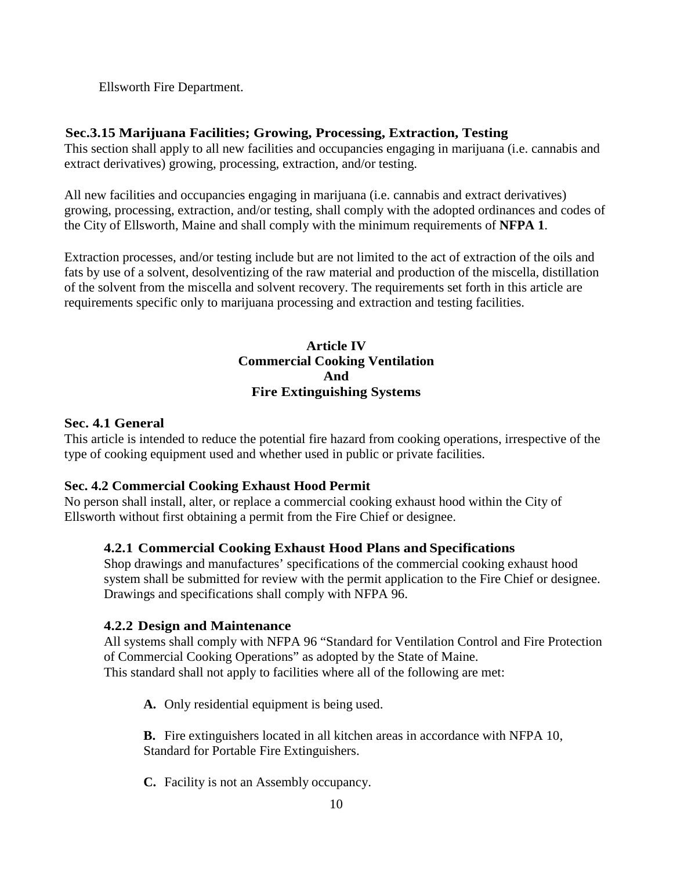Ellsworth Fire Department.

## **Sec.3.15 Marijuana Facilities; Growing, Processing, Extraction, Testing**

This section shall apply to all new facilities and occupancies engaging in marijuana (i.e. cannabis and extract derivatives) growing, processing, extraction, and/or testing.

All new facilities and occupancies engaging in marijuana (i.e. cannabis and extract derivatives) growing, processing, extraction, and/or testing, shall comply with the adopted ordinances and codes of the City of Ellsworth, Maine and shall comply with the minimum requirements of **NFPA 1**.

Extraction processes, and/or testing include but are not limited to the act of extraction of the oils and fats by use of a solvent, desolventizing of the raw material and production of the miscella, distillation of the solvent from the miscella and solvent recovery. The requirements set forth in this article are requirements specific only to marijuana processing and extraction and testing facilities.

### **Article IV Commercial Cooking Ventilation And Fire Extinguishing Systems**

### **Sec. 4.1 General**

This article is intended to reduce the potential fire hazard from cooking operations, irrespective of the type of cooking equipment used and whether used in public or private facilities.

### **Sec. 4.2 Commercial Cooking Exhaust Hood Permit**

No person shall install, alter, or replace a commercial cooking exhaust hood within the City of Ellsworth without first obtaining a permit from the Fire Chief or designee.

### **4.2.1 Commercial Cooking Exhaust Hood Plans and Specifications**

Shop drawings and manufactures' specifications of the commercial cooking exhaust hood system shall be submitted for review with the permit application to the Fire Chief or designee. Drawings and specifications shall comply with NFPA 96.

### **4.2.2 Design and Maintenance**

All systems shall comply with NFPA 96 "Standard for Ventilation Control and Fire Protection of Commercial Cooking Operations" as adopted by the State of Maine. This standard shall not apply to facilities where all of the following are met:

**A.** Only residential equipment is being used.

**B.** Fire extinguishers located in all kitchen areas in accordance with NFPA 10, Standard for Portable Fire Extinguishers.

**C.** Facility is not an Assembly occupancy.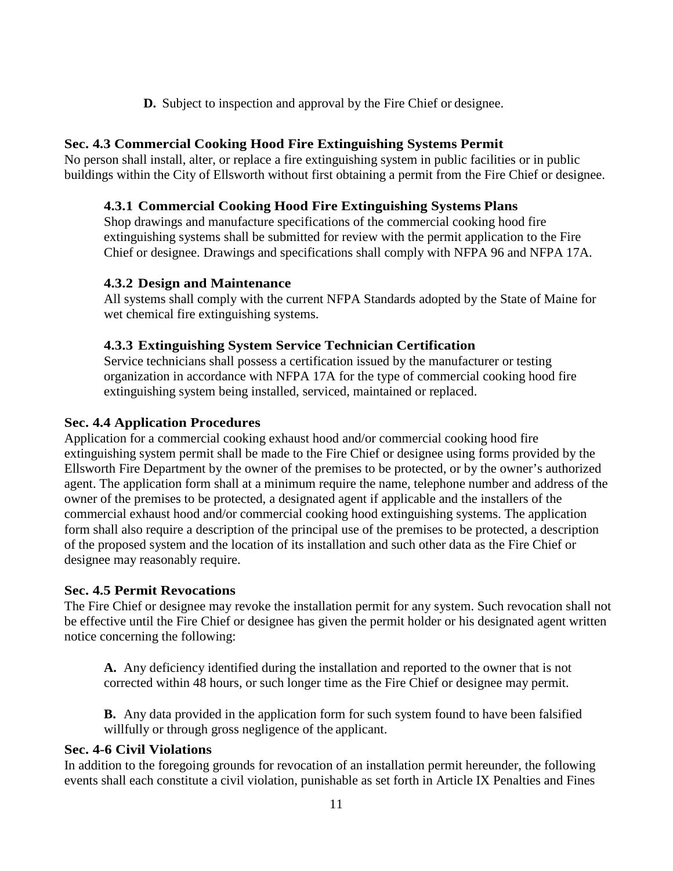**D.** Subject to inspection and approval by the Fire Chief or designee.

#### **Sec. 4.3 Commercial Cooking Hood Fire Extinguishing Systems Permit**

No person shall install, alter, or replace a fire extinguishing system in public facilities or in public buildings within the City of Ellsworth without first obtaining a permit from the Fire Chief or designee.

#### **4.3.1 Commercial Cooking Hood Fire Extinguishing Systems Plans**

Shop drawings and manufacture specifications of the commercial cooking hood fire extinguishing systems shall be submitted for review with the permit application to the Fire Chief or designee. Drawings and specifications shall comply with NFPA 96 and NFPA 17A.

#### **4.3.2 Design and Maintenance**

All systems shall comply with the current NFPA Standards adopted by the State of Maine for wet chemical fire extinguishing systems.

#### **4.3.3 Extinguishing System Service Technician Certification**

Service technicians shall possess a certification issued by the manufacturer or testing organization in accordance with NFPA 17A for the type of commercial cooking hood fire extinguishing system being installed, serviced, maintained or replaced.

#### **Sec. 4.4 Application Procedures**

Application for a commercial cooking exhaust hood and/or commercial cooking hood fire extinguishing system permit shall be made to the Fire Chief or designee using forms provided by the Ellsworth Fire Department by the owner of the premises to be protected, or by the owner's authorized agent. The application form shall at a minimum require the name, telephone number and address of the owner of the premises to be protected, a designated agent if applicable and the installers of the commercial exhaust hood and/or commercial cooking hood extinguishing systems. The application form shall also require a description of the principal use of the premises to be protected, a description of the proposed system and the location of its installation and such other data as the Fire Chief or designee may reasonably require.

#### **Sec. 4.5 Permit Revocations**

The Fire Chief or designee may revoke the installation permit for any system. Such revocation shall not be effective until the Fire Chief or designee has given the permit holder or his designated agent written notice concerning the following:

**A.** Any deficiency identified during the installation and reported to the owner that is not corrected within 48 hours, or such longer time as the Fire Chief or designee may permit.

**B.** Any data provided in the application form for such system found to have been falsified willfully or through gross negligence of the applicant.

#### **Sec. 4-6 Civil Violations**

In addition to the foregoing grounds for revocation of an installation permit hereunder, the following events shall each constitute a civil violation, punishable as set forth in Article IX Penalties and Fines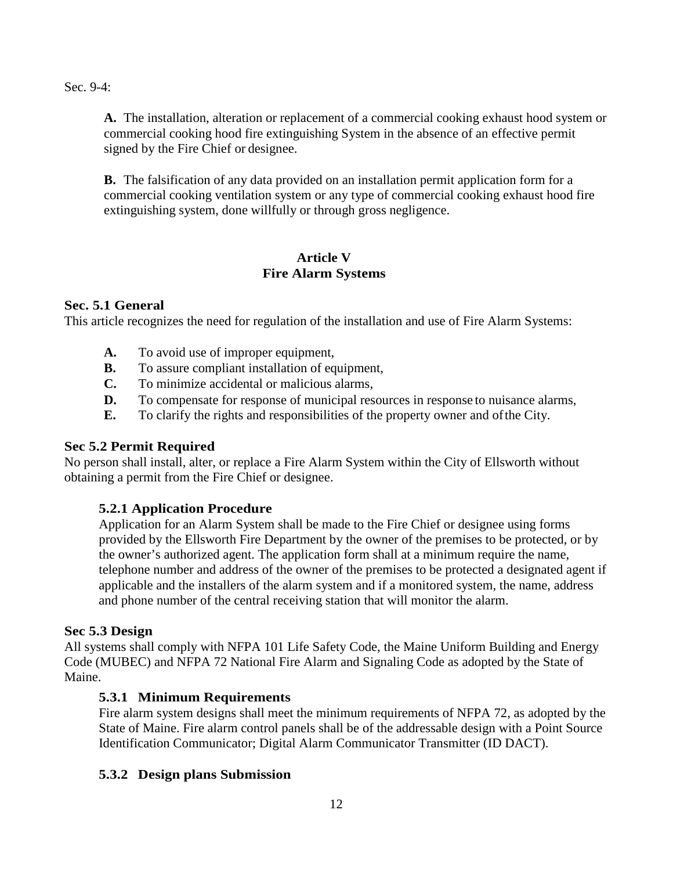Sec. 9-4:

**A.** The installation, alteration or replacement of a commercial cooking exhaust hood system or commercial cooking hood fire extinguishing System in the absence of an effective permit signed by the Fire Chief or designee.

**B.** The falsification of any data provided on an installation permit application form for a commercial cooking ventilation system or any type of commercial cooking exhaust hood fire extinguishing system, done willfully or through gross negligence.

#### **Article V Fire Alarm Systems**

### **Sec. 5.1 General**

This article recognizes the need for regulation of the installation and use of Fire Alarm Systems:

- **A.** To avoid use of improper equipment,
- **B.** To assure compliant installation of equipment,
- **C.** To minimize accidental or malicious alarms,
- **D.** To compensate for response of municipal resources in response to nuisance alarms,
- **E.** To clarify the rights and responsibilities of the property owner and ofthe City.

# **Sec 5.2 Permit Required**

No person shall install, alter, or replace a Fire Alarm System within the City of Ellsworth without obtaining a permit from the Fire Chief or designee.

# **5.2.1 Application Procedure**

Application for an Alarm System shall be made to the Fire Chief or designee using forms provided by the Ellsworth Fire Department by the owner of the premises to be protected, or by the owner's authorized agent. The application form shall at a minimum require the name, telephone number and address of the owner of the premises to be protected a designated agent if applicable and the installers of the alarm system and if a monitored system, the name, address and phone number of the central receiving station that will monitor the alarm.

### **Sec 5.3 Design**

All systems shall comply with NFPA 101 Life Safety Code, the Maine Uniform Building and Energy Code (MUBEC) and NFPA 72 National Fire Alarm and Signaling Code as adopted by the State of Maine.

# **5.3.1 Minimum Requirements**

Fire alarm system designs shall meet the minimum requirements of NFPA 72, as adopted by the State of Maine. Fire alarm control panels shall be of the addressable design with a Point Source Identification Communicator; Digital Alarm Communicator Transmitter (ID DACT).

# **5.3.2 Design plans Submission**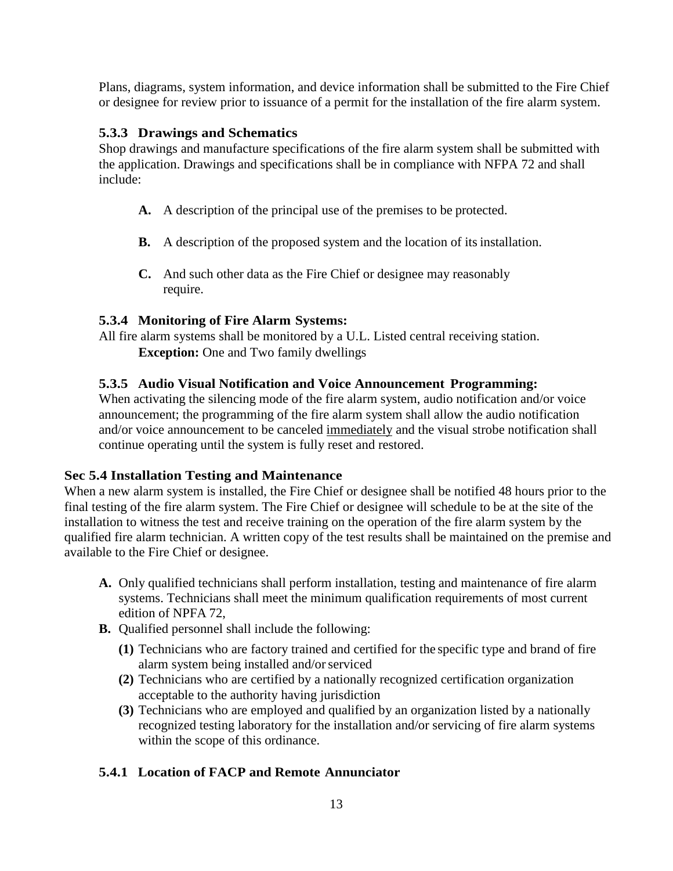Plans, diagrams, system information, and device information shall be submitted to the Fire Chief or designee for review prior to issuance of a permit for the installation of the fire alarm system.

## **5.3.3 Drawings and Schematics**

Shop drawings and manufacture specifications of the fire alarm system shall be submitted with the application. Drawings and specifications shall be in compliance with NFPA 72 and shall include:

- **A.** A description of the principal use of the premises to be protected.
- **B.** A description of the proposed system and the location of its installation.
- **C.** And such other data as the Fire Chief or designee may reasonably require.

# **5.3.4 Monitoring of Fire Alarm Systems:**

All fire alarm systems shall be monitored by a U.L. Listed central receiving station. **Exception:** One and Two family dwellings

# **5.3.5 Audio Visual Notification and Voice Announcement Programming:**

When activating the silencing mode of the fire alarm system, audio notification and/or voice announcement; the programming of the fire alarm system shall allow the audio notification and/or voice announcement to be canceled immediately and the visual strobe notification shall continue operating until the system is fully reset and restored.

### **Sec 5.4 Installation Testing and Maintenance**

When a new alarm system is installed, the Fire Chief or designee shall be notified 48 hours prior to the final testing of the fire alarm system. The Fire Chief or designee will schedule to be at the site of the installation to witness the test and receive training on the operation of the fire alarm system by the qualified fire alarm technician. A written copy of the test results shall be maintained on the premise and available to the Fire Chief or designee.

- **A.** Only qualified technicians shall perform installation, testing and maintenance of fire alarm systems. Technicians shall meet the minimum qualification requirements of most current edition of NPFA 72,
- **B.** Qualified personnel shall include the following:
	- **(1)** Technicians who are factory trained and certified for the specific type and brand of fire alarm system being installed and/orserviced
	- **(2)** Technicians who are certified by a nationally recognized certification organization acceptable to the authority having jurisdiction
	- **(3)** Technicians who are employed and qualified by an organization listed by a nationally recognized testing laboratory for the installation and/or servicing of fire alarm systems within the scope of this ordinance.

# **5.4.1 Location of FACP and Remote Annunciator**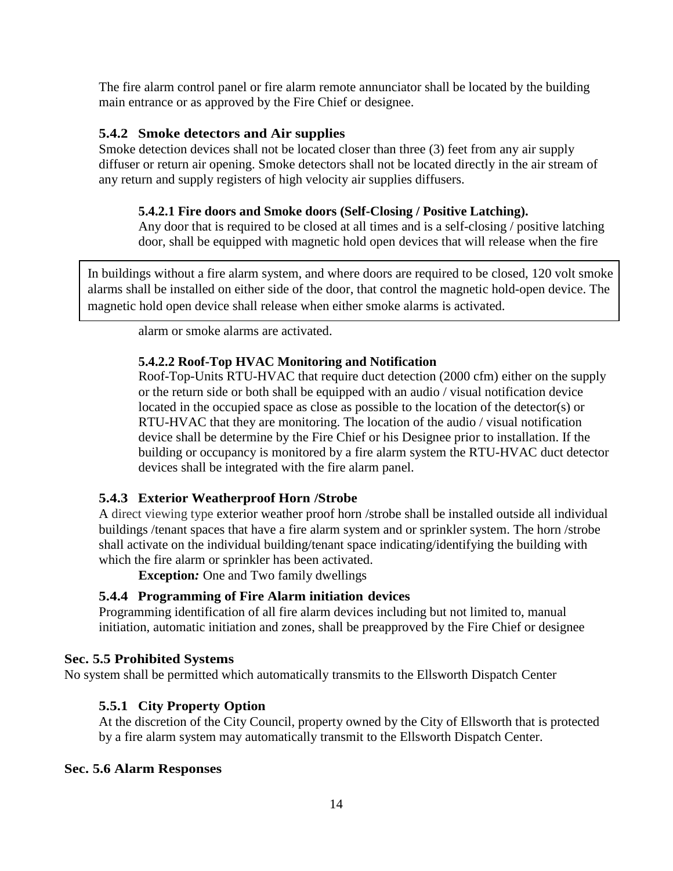The fire alarm control panel or fire alarm remote annunciator shall be located by the building main entrance or as approved by the Fire Chief or designee.

## **5.4.2 Smoke detectors and Air supplies**

Smoke detection devices shall not be located closer than three (3) feet from any air supply diffuser or return air opening. Smoke detectors shall not be located directly in the air stream of any return and supply registers of high velocity air supplies diffusers.

## **5.4.2.1 Fire doors and Smoke doors (Self-Closing / Positive Latching).**

Any door that is required to be closed at all times and is a self-closing / positive latching door, shall be equipped with magnetic hold open devices that will release when the fire

In buildings without a fire alarm system, and where doors are required to be closed, 120 volt smoke alarms shall be installed on either side of the door, that control the magnetic hold-open device. The magnetic hold open device shall release when either smoke alarms is activated.

alarm or smoke alarms are activated.

### **5.4.2.2 Roof-Top HVAC Monitoring and Notification**

Roof-Top-Units RTU-HVAC that require duct detection (2000 cfm) either on the supply or the return side or both shall be equipped with an audio / visual notification device located in the occupied space as close as possible to the location of the detector(s) or RTU-HVAC that they are monitoring. The location of the audio / visual notification device shall be determine by the Fire Chief or his Designee prior to installation. If the building or occupancy is monitored by a fire alarm system the RTU-HVAC duct detector devices shall be integrated with the fire alarm panel.

### **5.4.3 Exterior Weatherproof Horn /Strobe**

A direct viewing type exterior weather proof horn /strobe shall be installed outside all individual buildings /tenant spaces that have a fire alarm system and or sprinkler system. The horn /strobe shall activate on the individual building/tenant space indicating/identifying the building with which the fire alarm or sprinkler has been activated.

**Exception***:* One and Two family dwellings

# **5.4.4 Programming of Fire Alarm initiation devices**

Programming identification of all fire alarm devices including but not limited to, manual initiation, automatic initiation and zones, shall be preapproved by the Fire Chief or designee

### **Sec. 5.5 Prohibited Systems**

No system shall be permitted which automatically transmits to the Ellsworth Dispatch Center

# **5.5.1 City Property Option**

At the discretion of the City Council, property owned by the City of Ellsworth that is protected by a fire alarm system may automatically transmit to the Ellsworth Dispatch Center.

### **Sec. 5.6 Alarm Responses**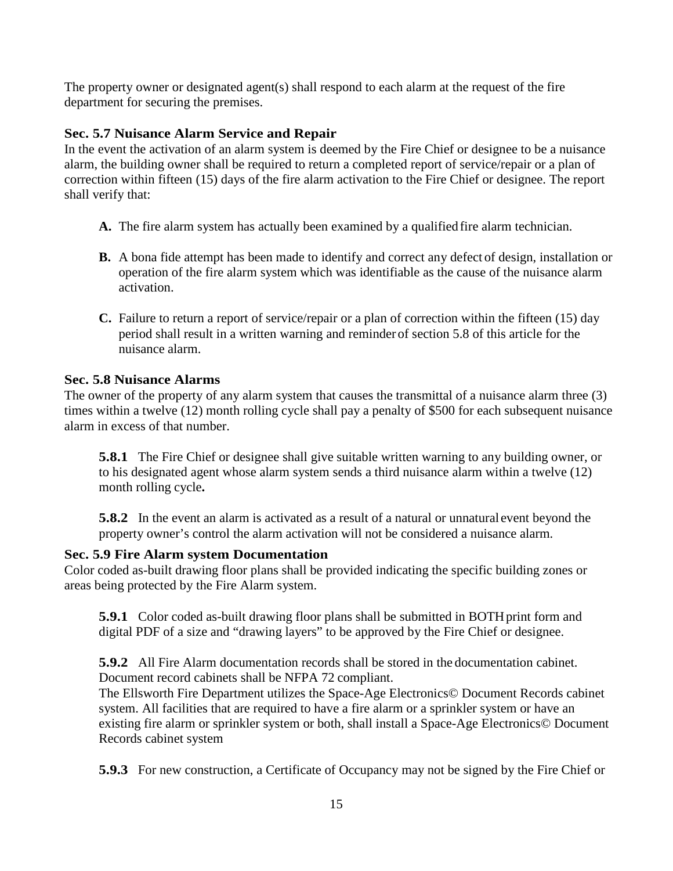The property owner or designated agent(s) shall respond to each alarm at the request of the fire department for securing the premises.

# **Sec. 5.7 Nuisance Alarm Service and Repair**

In the event the activation of an alarm system is deemed by the Fire Chief or designee to be a nuisance alarm, the building owner shall be required to return a completed report of service/repair or a plan of correction within fifteen (15) days of the fire alarm activation to the Fire Chief or designee. The report shall verify that:

- **A.** The fire alarm system has actually been examined by a qualified fire alarm technician.
- **B.** A bona fide attempt has been made to identify and correct any defect of design, installation or operation of the fire alarm system which was identifiable as the cause of the nuisance alarm activation.
- **C.** Failure to return a report of service/repair or a plan of correction within the fifteen (15) day period shall result in a written warning and reminder of section 5.8 of this article for the nuisance alarm.

### **Sec. 5.8 Nuisance Alarms**

The owner of the property of any alarm system that causes the transmittal of a nuisance alarm three (3) times within a twelve (12) month rolling cycle shall pay a penalty of \$500 for each subsequent nuisance alarm in excess of that number.

**5.8.1** The Fire Chief or designee shall give suitable written warning to any building owner, or to his designated agent whose alarm system sends a third nuisance alarm within a twelve (12) month rolling cycle**.**

**5.8.2** In the event an alarm is activated as a result of a natural or unnatural event beyond the property owner's control the alarm activation will not be considered a nuisance alarm.

### **Sec. 5.9 Fire Alarm system Documentation**

Color coded as-built drawing floor plans shall be provided indicating the specific building zones or areas being protected by the Fire Alarm system.

**5.9.1** Color coded as-built drawing floor plans shall be submitted in BOTH print form and digital PDF of a size and "drawing layers" to be approved by the Fire Chief or designee.

**5.9.2** All Fire Alarm documentation records shall be stored in the documentation cabinet. Document record cabinets shall be NFPA 72 compliant.

The Ellsworth Fire Department utilizes the Space-Age Electronics© Document Records cabinet system. All facilities that are required to have a fire alarm or a sprinkler system or have an existing fire alarm or sprinkler system or both, shall install a Space-Age Electronics© Document Records cabinet system

**5.9.3** For new construction, a Certificate of Occupancy may not be signed by the Fire Chief or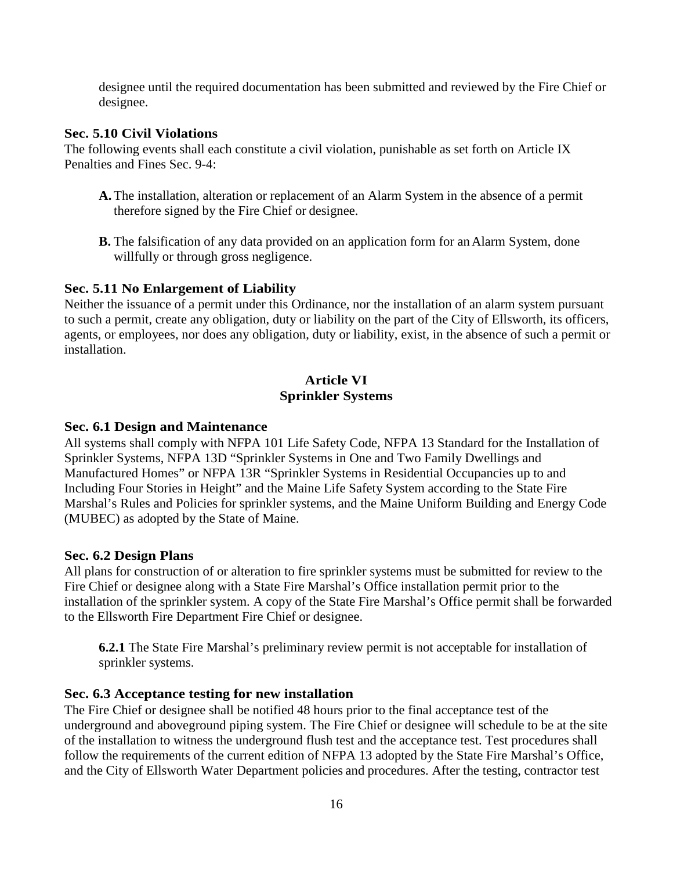designee until the required documentation has been submitted and reviewed by the Fire Chief or designee.

#### **Sec. 5.10 Civil Violations**

The following events shall each constitute a civil violation, punishable as set forth on Article IX Penalties and Fines Sec. 9-4:

- **A.** The installation, alteration or replacement of an Alarm System in the absence of a permit therefore signed by the Fire Chief or designee.
- **B.** The falsification of any data provided on an application form for an Alarm System, done willfully or through gross negligence.

#### **Sec. 5.11 No Enlargement of Liability**

Neither the issuance of a permit under this Ordinance, nor the installation of an alarm system pursuant to such a permit, create any obligation, duty or liability on the part of the City of Ellsworth, its officers, agents, or employees, nor does any obligation, duty or liability, exist, in the absence of such a permit or installation.

#### **Article VI Sprinkler Systems**

#### **Sec. 6.1 Design and Maintenance**

All systems shall comply with NFPA 101 Life Safety Code, NFPA 13 Standard for the Installation of Sprinkler Systems, NFPA 13D "Sprinkler Systems in One and Two Family Dwellings and Manufactured Homes" or NFPA 13R "Sprinkler Systems in Residential Occupancies up to and Including Four Stories in Height" and the Maine Life Safety System according to the State Fire Marshal's Rules and Policies for sprinkler systems, and the Maine Uniform Building and Energy Code (MUBEC) as adopted by the State of Maine.

#### **Sec. 6.2 Design Plans**

All plans for construction of or alteration to fire sprinkler systems must be submitted for review to the Fire Chief or designee along with a State Fire Marshal's Office installation permit prior to the installation of the sprinkler system. A copy of the State Fire Marshal's Office permit shall be forwarded to the Ellsworth Fire Department Fire Chief or designee.

**6.2.1** The State Fire Marshal's preliminary review permit is not acceptable for installation of sprinkler systems.

#### **Sec. 6.3 Acceptance testing for new installation**

The Fire Chief or designee shall be notified 48 hours prior to the final acceptance test of the underground and aboveground piping system. The Fire Chief or designee will schedule to be at the site of the installation to witness the underground flush test and the acceptance test. Test procedures shall follow the requirements of the current edition of NFPA 13 adopted by the State Fire Marshal's Office, and the City of Ellsworth Water Department policies and procedures. After the testing, contractor test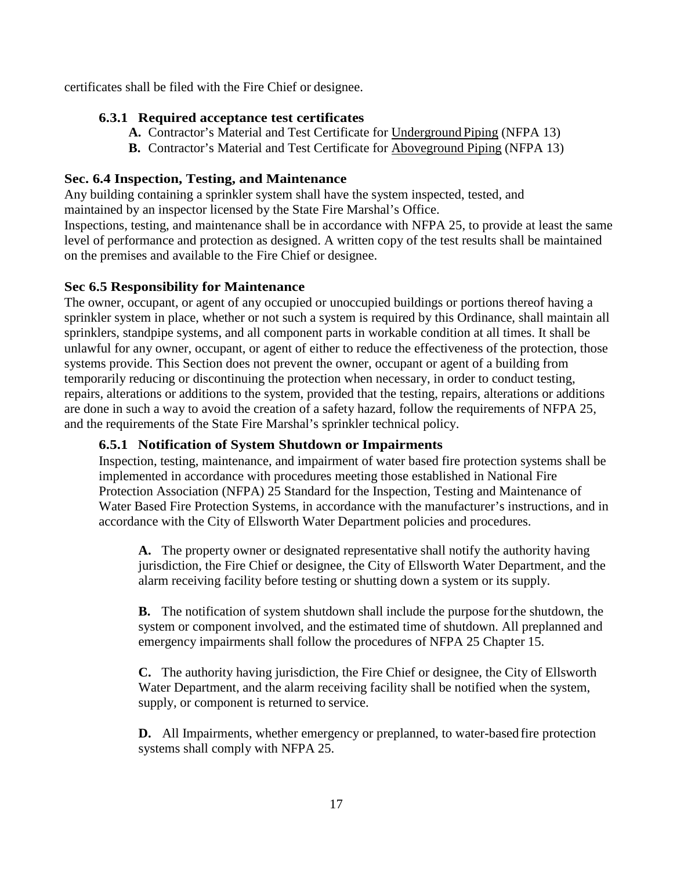certificates shall be filed with the Fire Chief or designee.

## **6.3.1 Required acceptance test certificates**

- **A.** Contractor's Material and Test Certificate for Underground Piping (NFPA 13)
- **B.** Contractor's Material and Test Certificate for Aboveground Piping (NFPA 13)

## **Sec. 6.4 Inspection, Testing, and Maintenance**

Any building containing a sprinkler system shall have the system inspected, tested, and maintained by an inspector licensed by the State Fire Marshal's Office.

Inspections, testing, and maintenance shall be in accordance with NFPA 25, to provide at least the same level of performance and protection as designed. A written copy of the test results shall be maintained on the premises and available to the Fire Chief or designee.

# **Sec 6.5 Responsibility for Maintenance**

The owner, occupant, or agent of any occupied or unoccupied buildings or portions thereof having a sprinkler system in place, whether or not such a system is required by this Ordinance, shall maintain all sprinklers, standpipe systems, and all component parts in workable condition at all times. It shall be unlawful for any owner, occupant, or agent of either to reduce the effectiveness of the protection, those systems provide. This Section does not prevent the owner, occupant or agent of a building from temporarily reducing or discontinuing the protection when necessary, in order to conduct testing, repairs, alterations or additions to the system, provided that the testing, repairs, alterations or additions are done in such a way to avoid the creation of a safety hazard, follow the requirements of NFPA 25, and the requirements of the State Fire Marshal's sprinkler technical policy.

### **6.5.1 Notification of System Shutdown or Impairments**

Inspection, testing, maintenance, and impairment of water based fire protection systems shall be implemented in accordance with procedures meeting those established in National Fire Protection Association (NFPA) 25 Standard for the Inspection, Testing and Maintenance of Water Based Fire Protection Systems, in accordance with the manufacturer's instructions, and in accordance with the City of Ellsworth Water Department policies and procedures.

**A.** The property owner or designated representative shall notify the authority having jurisdiction, the Fire Chief or designee, the City of Ellsworth Water Department, and the alarm receiving facility before testing or shutting down a system or its supply.

**B.** The notification of system shutdown shall include the purpose forthe shutdown, the system or component involved, and the estimated time of shutdown. All preplanned and emergency impairments shall follow the procedures of NFPA 25 Chapter 15.

**C.** The authority having jurisdiction, the Fire Chief or designee, the City of Ellsworth Water Department, and the alarm receiving facility shall be notified when the system, supply, or component is returned to service.

**D.** All Impairments, whether emergency or preplanned, to water-based fire protection systems shall comply with NFPA 25.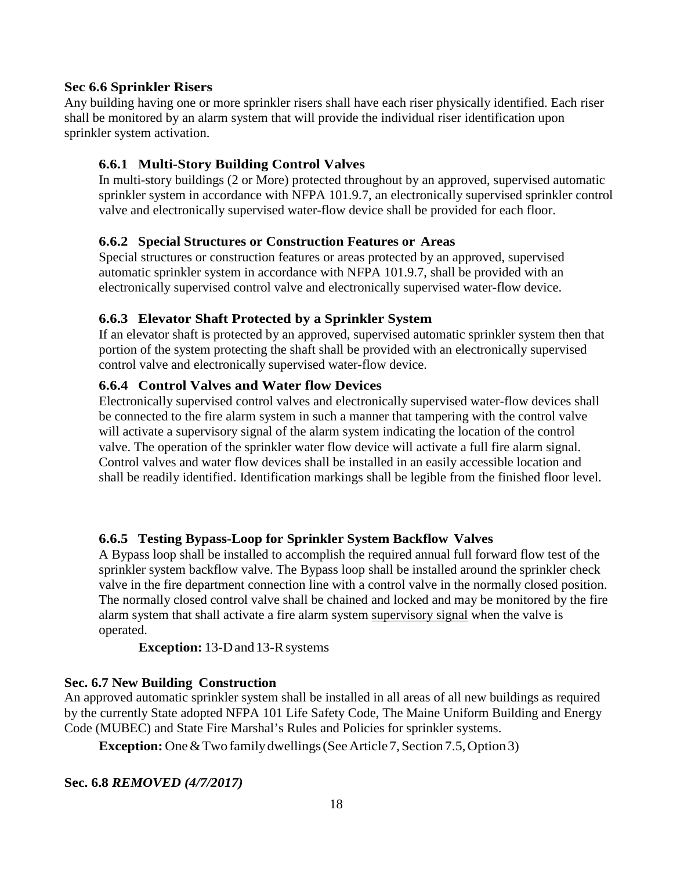#### **Sec 6.6 Sprinkler Risers**

Any building having one or more sprinkler risers shall have each riser physically identified. Each riser shall be monitored by an alarm system that will provide the individual riser identification upon sprinkler system activation.

#### **6.6.1 Multi-Story Building Control Valves**

In multi-story buildings (2 or More) protected throughout by an approved, supervised automatic sprinkler system in accordance with NFPA 101.9.7, an electronically supervised sprinkler control valve and electronically supervised water-flow device shall be provided for each floor.

#### **6.6.2 Special Structures or Construction Features or Areas**

Special structures or construction features or areas protected by an approved, supervised automatic sprinkler system in accordance with NFPA 101.9.7, shall be provided with an electronically supervised control valve and electronically supervised water-flow device.

#### **6.6.3 Elevator Shaft Protected by a Sprinkler System**

If an elevator shaft is protected by an approved, supervised automatic sprinkler system then that portion of the system protecting the shaft shall be provided with an electronically supervised control valve and electronically supervised water-flow device.

#### **6.6.4 Control Valves and Water flow Devices**

Electronically supervised control valves and electronically supervised water-flow devices shall be connected to the fire alarm system in such a manner that tampering with the control valve will activate a supervisory signal of the alarm system indicating the location of the control valve. The operation of the sprinkler water flow device will activate a full fire alarm signal. Control valves and water flow devices shall be installed in an easily accessible location and shall be readily identified. Identification markings shall be legible from the finished floor level.

#### **6.6.5 Testing Bypass-Loop for Sprinkler System Backflow Valves**

A Bypass loop shall be installed to accomplish the required annual full forward flow test of the sprinkler system backflow valve. The Bypass loop shall be installed around the sprinkler check valve in the fire department connection line with a control valve in the normally closed position. The normally closed control valve shall be chained and locked and may be monitored by the fire alarm system that shall activate a fire alarm system supervisory signal when the valve is operated.

**Exception:** 13-D and 13-R systems

#### **Sec. 6.7 New Building Construction**

An approved automatic sprinkler system shall be installed in all areas of all new buildings as required by the currently State adopted NFPA 101 Life Safety Code, The Maine Uniform Building and Energy Code (MUBEC) and State Fire Marshal's Rules and Policies for sprinkler systems.

**Exception:** One & Two family dwellings (See Article 7, Section 7.5, Option 3)

#### **Sec. 6.8** *REMOVED (4/7/2017)*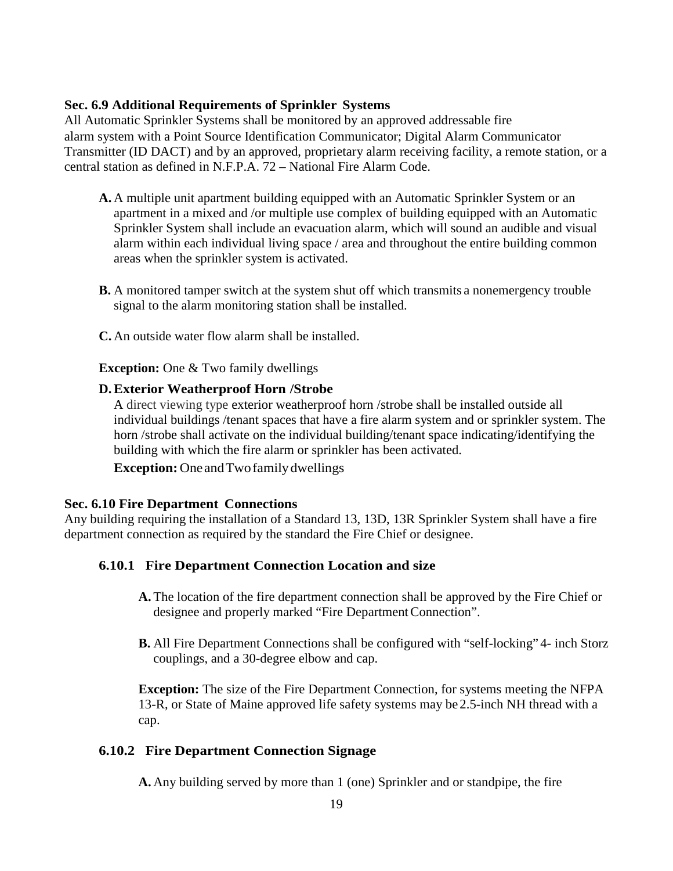#### **Sec. 6.9 Additional Requirements of Sprinkler Systems**

All Automatic Sprinkler Systems shall be monitored by an approved addressable fire alarm system with a Point Source Identification Communicator; Digital Alarm Communicator Transmitter (ID DACT) and by an approved, proprietary alarm receiving facility, a remote station, or a central station as defined in N.F.P.A. 72 – National Fire Alarm Code.

- **A.** A multiple unit apartment building equipped with an Automatic Sprinkler System or an apartment in a mixed and /or multiple use complex of building equipped with an Automatic Sprinkler System shall include an evacuation alarm, which will sound an audible and visual alarm within each individual living space / area and throughout the entire building common areas when the sprinkler system is activated.
- **B.** A monitored tamper switch at the system shut off which transmits a nonemergency trouble signal to the alarm monitoring station shall be installed.

**C.** An outside water flow alarm shall be installed.

**Exception:** One & Two family dwellings

#### **D.Exterior Weatherproof Horn /Strobe**

A direct viewing type exterior weatherproof horn /strobe shall be installed outside all individual buildings /tenant spaces that have a fire alarm system and or sprinkler system. The horn /strobe shall activate on the individual building/tenant space indicating/identifying the building with which the fire alarm or sprinkler has been activated.

**Exception:**OneandTwofamilydwellings

#### **Sec. 6.10 Fire Department Connections**

Any building requiring the installation of a Standard 13, 13D, 13R Sprinkler System shall have a fire department connection as required by the standard the Fire Chief or designee.

### **6.10.1 Fire Department Connection Location and size**

- **A.** The location of the fire department connection shall be approved by the Fire Chief or designee and properly marked "Fire Department Connection".
- **B.** All Fire Department Connections shall be configured with "self-locking" 4- inch Storz couplings, and a 30-degree elbow and cap.

**Exception:** The size of the Fire Department Connection, for systems meeting the NFPA 13-R, or State of Maine approved life safety systems may be 2.5-inch NH thread with a cap.

### **6.10.2 Fire Department Connection Signage**

**A.** Any building served by more than 1 (one) Sprinkler and or standpipe, the fire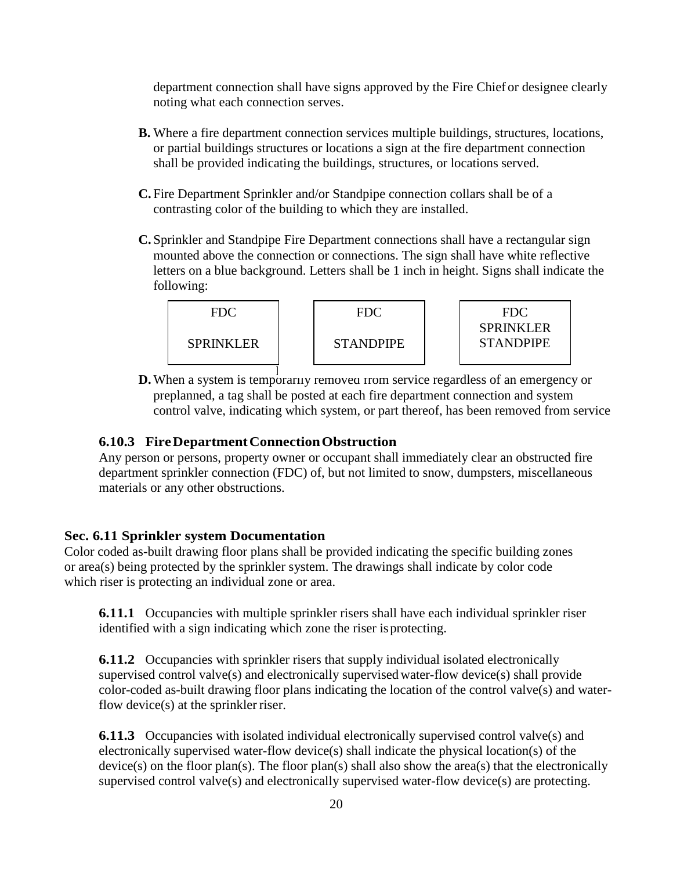department connection shall have signs approved by the Fire Chief or designee clearly noting what each connection serves.

- **B.** Where a fire department connection services multiple buildings, structures, locations, or partial buildings structures or locations a sign at the fire department connection shall be provided indicating the buildings, structures, or locations served.
- **C.** Fire Department Sprinkler and/or Standpipe connection collars shall be of a contrasting color of the building to which they are installed.
- **C.** Sprinkler and Standpipe Fire Department connections shall have a rectangular sign mounted above the connection or connections. The sign shall have white reflective letters on a blue background. Letters shall be 1 inch in height. Signs shall indicate the following:



**D.** When a system is temporarily removed from service regardless of an emergency or preplanned, a tag shall be posted at each fire department connection and system control valve, indicating which system, or part thereof, has been removed from service

## **6.10.3 FireDepartmentConnectionObstruction**

Any person or persons, property owner or occupant shall immediately clear an obstructed fire department sprinkler connection (FDC) of, but not limited to snow, dumpsters, miscellaneous materials or any other obstructions.

### **Sec. 6.11 Sprinkler system Documentation**

Color coded as-built drawing floor plans shall be provided indicating the specific building zones or area(s) being protected by the sprinkler system. The drawings shall indicate by color code which riser is protecting an individual zone or area.

**6.11.1** Occupancies with multiple sprinkler risers shall have each individual sprinkler riser identified with a sign indicating which zone the riser isprotecting.

**6.11.2** Occupancies with sprinkler risers that supply individual isolated electronically supervised control valve(s) and electronically supervised water-flow device(s) shall provide color-coded as-built drawing floor plans indicating the location of the control valve(s) and waterflow device(s) at the sprinkler riser.

**6.11.3** Occupancies with isolated individual electronically supervised control valve(s) and electronically supervised water-flow device(s) shall indicate the physical location(s) of the device(s) on the floor plan(s). The floor plan(s) shall also show the area(s) that the electronically supervised control valve(s) and electronically supervised water-flow device(s) are protecting.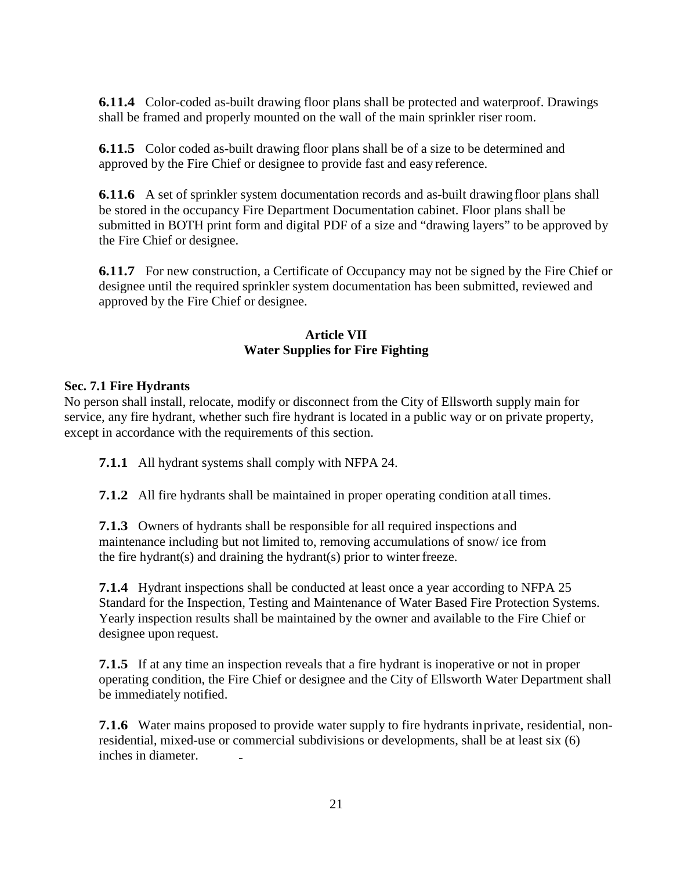**6.11.4** Color-coded as-built drawing floor plans shall be protected and waterproof. Drawings shall be framed and properly mounted on the wall of the main sprinkler riser room.

**6.11.5** Color coded as-built drawing floor plans shall be of a size to be determined and approved by the Fire Chief or designee to provide fast and easy reference.

**6.11.6** A set of sprinkler system documentation records and as-built drawing floor plans shall be stored in the occupancy Fire Department Documentation cabinet. Floor plans shall be submitted in BOTH print form and digital PDF of a size and "drawing layers" to be approved by the Fire Chief or designee.

**6.11.7** For new construction, a Certificate of Occupancy may not be signed by the Fire Chief or designee until the required sprinkler system documentation has been submitted, reviewed and approved by the Fire Chief or designee.

### **Article VII Water Supplies for Fire Fighting**

#### **Sec. 7.1 Fire Hydrants**

No person shall install, relocate, modify or disconnect from the City of Ellsworth supply main for service, any fire hydrant, whether such fire hydrant is located in a public way or on private property, except in accordance with the requirements of this section.

**7.1.1** All hydrant systems shall comply with NFPA 24.

**7.1.2** All fire hydrants shall be maintained in proper operating condition at all times.

**7.1.3** Owners of hydrants shall be responsible for all required inspections and maintenance including but not limited to, removing accumulations of snow/ ice from the fire hydrant(s) and draining the hydrant(s) prior to winterfreeze.

**7.1.4** Hydrant inspections shall be conducted at least once a year according to NFPA 25 Standard for the Inspection, Testing and Maintenance of Water Based Fire Protection Systems. Yearly inspection results shall be maintained by the owner and available to the Fire Chief or designee upon request.

**7.1.5** If at any time an inspection reveals that a fire hydrant is inoperative or not in proper operating condition, the Fire Chief or designee and the City of Ellsworth Water Department shall be immediately notified.

**7.1.6** Water mains proposed to provide water supply to fire hydrants in private, residential, nonresidential, mixed-use or commercial subdivisions or developments, shall be at least six (6) inches in diameter.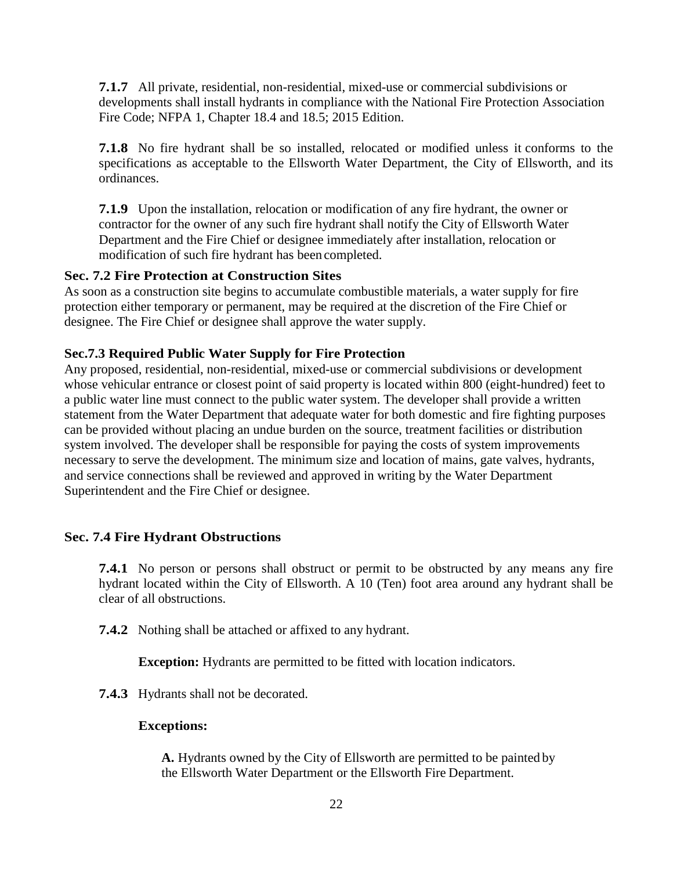**7.1.7** All private, residential, non-residential, mixed-use or commercial subdivisions or developments shall install hydrants in compliance with the National Fire Protection Association Fire Code; NFPA 1, Chapter 18.4 and 18.5; 2015 Edition.

**7.1.8** No fire hydrant shall be so installed, relocated or modified unless it conforms to the specifications as acceptable to the Ellsworth Water Department, the City of Ellsworth, and its ordinances.

**7.1.9** Upon the installation, relocation or modification of any fire hydrant, the owner or contractor for the owner of any such fire hydrant shall notify the City of Ellsworth Water Department and the Fire Chief or designee immediately after installation, relocation or modification of such fire hydrant has been completed.

#### **Sec. 7.2 Fire Protection at Construction Sites**

As soon as a construction site begins to accumulate combustible materials, a water supply for fire protection either temporary or permanent, may be required at the discretion of the Fire Chief or designee. The Fire Chief or designee shall approve the water supply.

#### **Sec.7.3 Required Public Water Supply for Fire Protection**

Any proposed, residential, non-residential, mixed-use or commercial subdivisions or development whose vehicular entrance or closest point of said property is located within 800 (eight-hundred) feet to a public water line must connect to the public water system. The developer shall provide a written statement from the Water Department that adequate water for both domestic and fire fighting purposes can be provided without placing an undue burden on the source, treatment facilities or distribution system involved. The developer shall be responsible for paying the costs of system improvements necessary to serve the development. The minimum size and location of mains, gate valves, hydrants, and service connections shall be reviewed and approved in writing by the Water Department Superintendent and the Fire Chief or designee.

#### **Sec. 7.4 Fire Hydrant Obstructions**

**7.4.1** No person or persons shall obstruct or permit to be obstructed by any means any fire hydrant located within the City of Ellsworth. A 10 (Ten) foot area around any hydrant shall be clear of all obstructions.

**7.4.2** Nothing shall be attached or affixed to any hydrant.

**Exception:** Hydrants are permitted to be fitted with location indicators.

**7.4.3** Hydrants shall not be decorated.

#### **Exceptions:**

**A.** Hydrants owned by the City of Ellsworth are permitted to be painted by the Ellsworth Water Department or the Ellsworth Fire Department.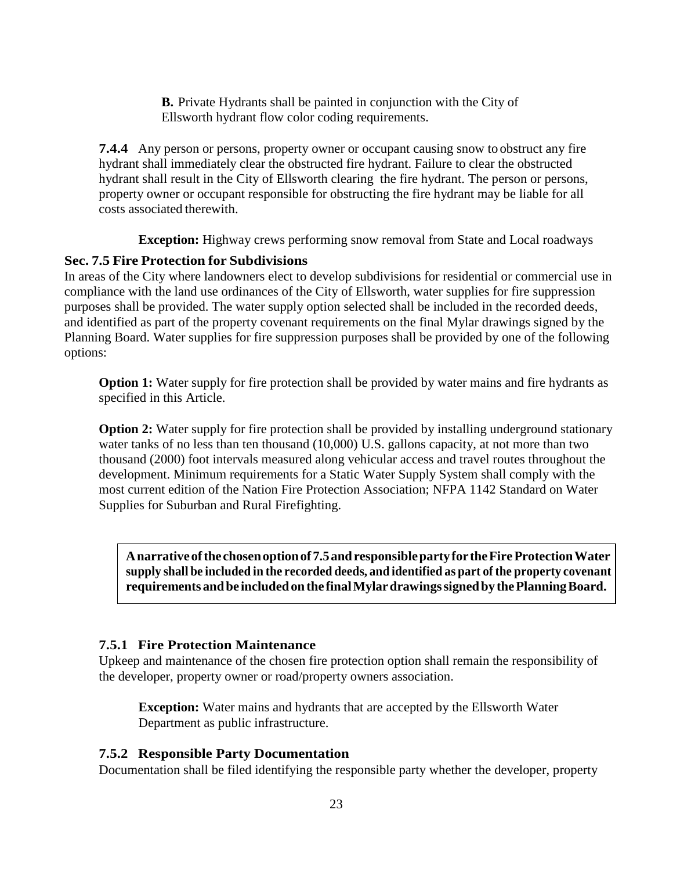**B.** Private Hydrants shall be painted in conjunction with the City of Ellsworth hydrant flow color coding requirements.

**7.4.4** Any person or persons, property owner or occupant causing snow to obstruct any fire hydrant shall immediately clear the obstructed fire hydrant. Failure to clear the obstructed hydrant shall result in the City of Ellsworth clearing the fire hydrant. The person or persons, property owner or occupant responsible for obstructing the fire hydrant may be liable for all costs associated therewith.

**Exception:** Highway crews performing snow removal from State and Local roadways

#### **Sec. 7.5 Fire Protection for Subdivisions**

In areas of the City where landowners elect to develop subdivisions for residential or commercial use in compliance with the land use ordinances of the City of Ellsworth, water supplies for fire suppression purposes shall be provided. The water supply option selected shall be included in the recorded deeds, and identified as part of the property covenant requirements on the final Mylar drawings signed by the Planning Board. Water supplies for fire suppression purposes shall be provided by one of the following options:

**Option 1:** Water supply for fire protection shall be provided by water mains and fire hydrants as specified in this Article.

**Option 2:** Water supply for fire protection shall be provided by installing underground stationary water tanks of no less than ten thousand (10,000) U.S. gallons capacity, at not more than two thousand (2000) foot intervals measured along vehicular access and travel routes throughout the development. Minimum requirements for a Static Water Supply System shall comply with the most current edition of the Nation Fire Protection Association; NFPA 1142 Standard on Water Supplies for Suburban and Rural Firefighting.

**Anarrativeofthe chosenoptionof 7.5andresponsiblepartyfor theFireProtectionWater supply shall be included in the recorded deeds, and identified as part of the property covenant requirements andbe includedonthe finalMylardrawingssignedby thePlanningBoard.**

#### **7.5.1 Fire Protection Maintenance**

Upkeep and maintenance of the chosen fire protection option shall remain the responsibility of the developer, property owner or road/property owners association.

**Exception:** Water mains and hydrants that are accepted by the Ellsworth Water Department as public infrastructure.

#### **7.5.2 Responsible Party Documentation**

Documentation shall be filed identifying the responsible party whether the developer, property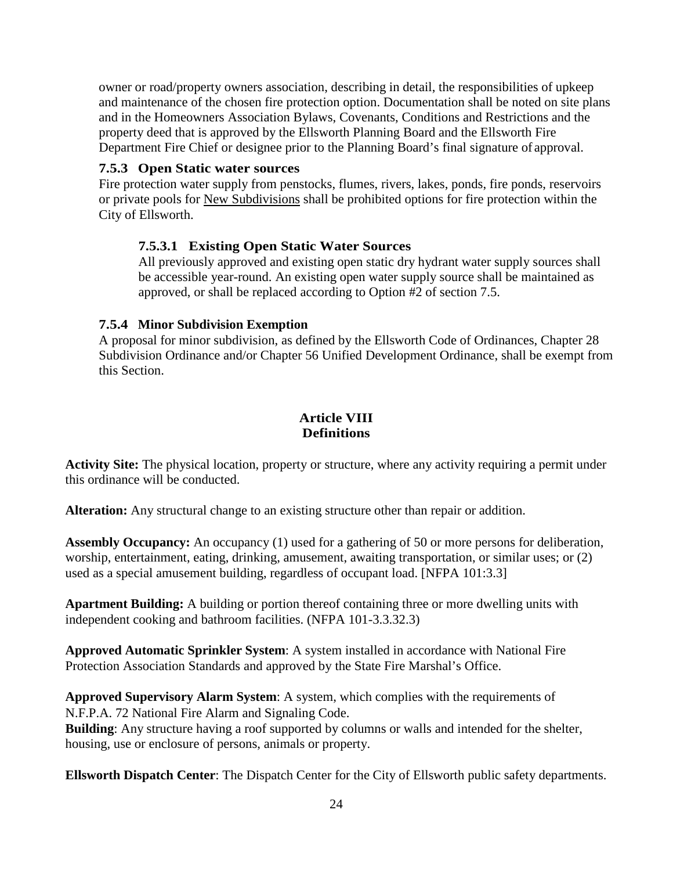owner or road/property owners association, describing in detail, the responsibilities of upkeep and maintenance of the chosen fire protection option. Documentation shall be noted on site plans and in the Homeowners Association Bylaws, Covenants, Conditions and Restrictions and the property deed that is approved by the Ellsworth Planning Board and the Ellsworth Fire Department Fire Chief or designee prior to the Planning Board's final signature of approval.

#### **7.5.3 Open Static water sources**

Fire protection water supply from penstocks, flumes, rivers, lakes, ponds, fire ponds, reservoirs or private pools for New Subdivisions shall be prohibited options for fire protection within the City of Ellsworth.

#### **7.5.3.1 Existing Open Static Water Sources**

All previously approved and existing open static dry hydrant water supply sources shall be accessible year-round. An existing open water supply source shall be maintained as approved, or shall be replaced according to Option #2 of section 7.5.

#### **7.5.4 Minor Subdivision Exemption**

A proposal for minor subdivision, as defined by the Ellsworth Code of Ordinances, Chapter 28 Subdivision Ordinance and/or Chapter 56 Unified Development Ordinance, shall be exempt from this Section.

# **Article VIII Definitions**

**Activity Site:** The physical location, property or structure, where any activity requiring a permit under this ordinance will be conducted.

**Alteration:** Any structural change to an existing structure other than repair or addition.

**Assembly Occupancy:** An occupancy (1) used for a gathering of 50 or more persons for deliberation, worship, entertainment, eating, drinking, amusement, awaiting transportation, or similar uses; or (2) used as a special amusement building, regardless of occupant load. [NFPA 101:3.3]

**Apartment Building:** A building or portion thereof containing three or more dwelling units with independent cooking and bathroom facilities. (NFPA 101-3.3.32.3)

**Approved Automatic Sprinkler System**: A system installed in accordance with National Fire Protection Association Standards and approved by the State Fire Marshal's Office.

**Approved Supervisory Alarm System**: A system, which complies with the requirements of N.F.P.A. 72 National Fire Alarm and Signaling Code.

**Building**: Any structure having a roof supported by columns or walls and intended for the shelter, housing, use or enclosure of persons, animals or property.

**Ellsworth Dispatch Center**: The Dispatch Center for the City of Ellsworth public safety departments.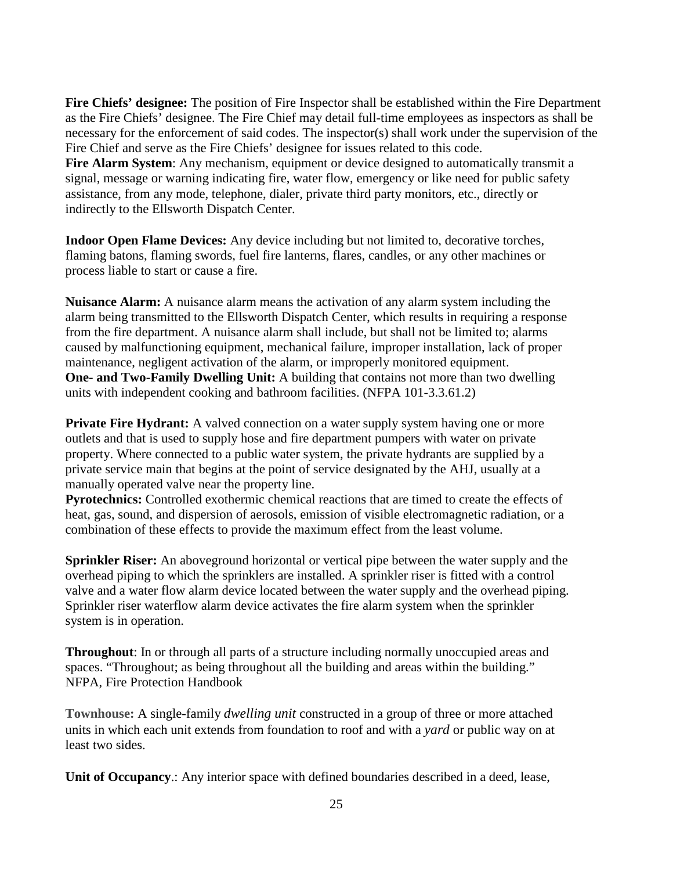**Fire Chiefs' designee:** The position of Fire Inspector shall be established within the Fire Department as the Fire Chiefs' designee. The Fire Chief may detail full-time employees as inspectors as shall be necessary for the enforcement of said codes. The inspector(s) shall work under the supervision of the Fire Chief and serve as the Fire Chiefs' designee for issues related to this code. Fire Alarm System: Any mechanism, equipment or device designed to automatically transmit a signal, message or warning indicating fire, water flow, emergency or like need for public safety assistance, from any mode, telephone, dialer, private third party monitors, etc., directly or indirectly to the Ellsworth Dispatch Center.

**Indoor Open Flame Devices:** Any device including but not limited to, decorative torches, flaming batons, flaming swords, fuel fire lanterns, flares, candles, or any other machines or process liable to start or cause a fire.

**Nuisance Alarm:** A nuisance alarm means the activation of any alarm system including the alarm being transmitted to the Ellsworth Dispatch Center, which results in requiring a response from the fire department. A nuisance alarm shall include, but shall not be limited to; alarms caused by malfunctioning equipment, mechanical failure, improper installation, lack of proper maintenance, negligent activation of the alarm, or improperly monitored equipment. **One- and Two-Family Dwelling Unit:** A building that contains not more than two dwelling units with independent cooking and bathroom facilities. (NFPA 101-3.3.61.2)

**Private Fire Hydrant:** A valved connection on a water supply system having one or more outlets and that is used to supply hose and fire department pumpers with water on private property. Where connected to a public water system, the private hydrants are supplied by a private service main that begins at the point of service designated by the AHJ, usually at a manually operated valve near the property line.

**Pyrotechnics:** Controlled exothermic chemical reactions that are timed to create the effects of heat, gas, sound, and dispersion of aerosols, emission of visible electromagnetic radiation, or a combination of these effects to provide the maximum effect from the least volume.

**Sprinkler Riser:** An aboveground horizontal or vertical pipe between the water supply and the overhead piping to which the sprinklers are installed. A sprinkler riser is fitted with a control valve and a water flow alarm device located between the water supply and the overhead piping. Sprinkler riser waterflow alarm device activates the fire alarm system when the sprinkler system is in operation.

**Throughout**: In or through all parts of a structure including normally unoccupied areas and spaces. "Throughout; as being throughout all the building and areas within the building." NFPA, Fire Protection Handbook

**Townhouse:** A single-family *dwelling unit* constructed in a group of three or more attached units in which each unit extends from foundation to roof and with a *yard* or public way on at least two sides.

**Unit of Occupancy**.: Any interior space with defined boundaries described in a deed, lease,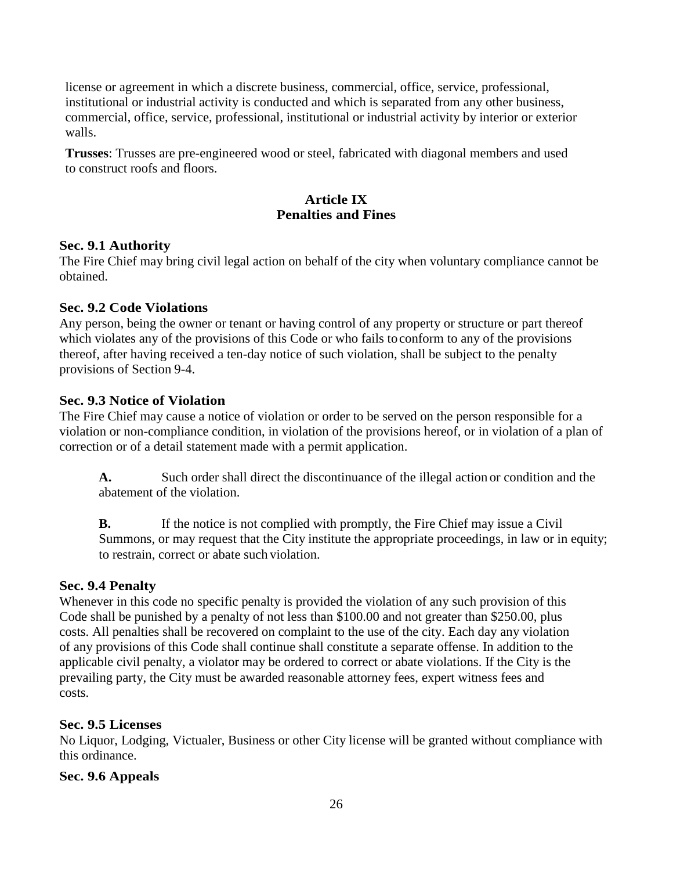license or agreement in which a discrete business, commercial, office, service, professional, institutional or industrial activity is conducted and which is separated from any other business, commercial, office, service, professional, institutional or industrial activity by interior or exterior walls.

**Trusses**: Trusses are pre-engineered wood or steel, fabricated with diagonal members and used to construct roofs and floors.

## **Article IX Penalties and Fines**

#### **Sec. 9.1 Authority**

The Fire Chief may bring civil legal action on behalf of the city when voluntary compliance cannot be obtained.

#### **Sec. 9.2 Code Violations**

Any person, being the owner or tenant or having control of any property or structure or part thereof which violates any of the provisions of this Code or who fails toconform to any of the provisions thereof, after having received a ten-day notice of such violation, shall be subject to the penalty provisions of Section 9-4.

#### **Sec. 9.3 Notice of Violation**

The Fire Chief may cause a notice of violation or order to be served on the person responsible for a violation or non-compliance condition, in violation of the provisions hereof, or in violation of a plan of correction or of a detail statement made with a permit application.

**A.** Such order shall direct the discontinuance of the illegal action or condition and the abatement of the violation.

**B.** If the notice is not complied with promptly, the Fire Chief may issue a Civil Summons, or may request that the City institute the appropriate proceedings, in law or in equity; to restrain, correct or abate such violation.

### **Sec. 9.4 Penalty**

Whenever in this code no specific penalty is provided the violation of any such provision of this Code shall be punished by a penalty of not less than \$100.00 and not greater than \$250.00, plus costs. All penalties shall be recovered on complaint to the use of the city. Each day any violation of any provisions of this Code shall continue shall constitute a separate offense. In addition to the applicable civil penalty, a violator may be ordered to correct or abate violations. If the City is the prevailing party, the City must be awarded reasonable attorney fees, expert witness fees and costs.

### **Sec. 9.5 Licenses**

No Liquor, Lodging, Victualer, Business or other City license will be granted without compliance with this ordinance.

#### **Sec. 9.6 Appeals**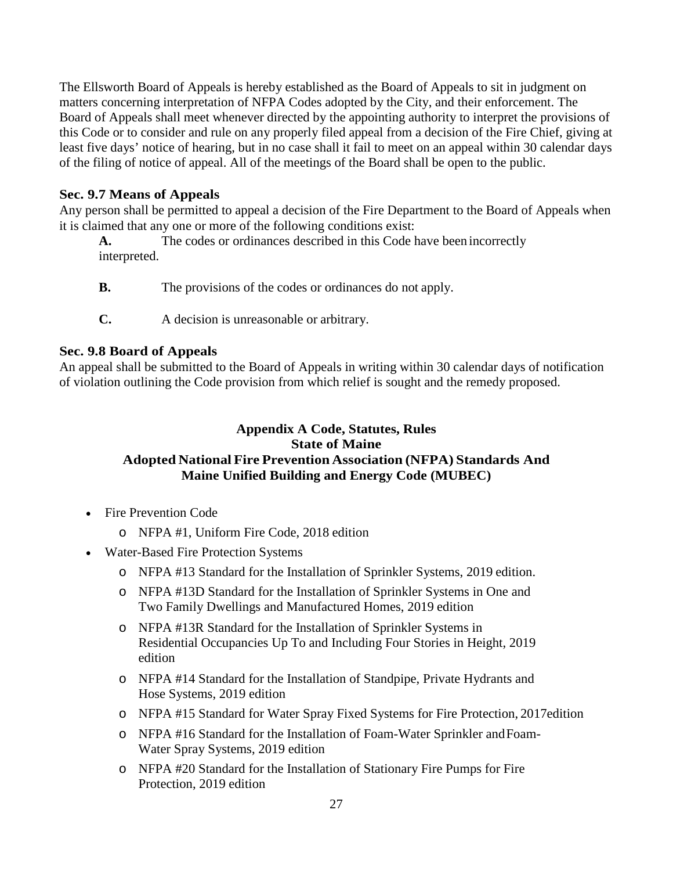The Ellsworth Board of Appeals is hereby established as the Board of Appeals to sit in judgment on matters concerning interpretation of NFPA Codes adopted by the City, and their enforcement. The Board of Appeals shall meet whenever directed by the appointing authority to interpret the provisions of this Code or to consider and rule on any properly filed appeal from a decision of the Fire Chief, giving at least five days' notice of hearing, but in no case shall it fail to meet on an appeal within 30 calendar days of the filing of notice of appeal. All of the meetings of the Board shall be open to the public.

# **Sec. 9.7 Means of Appeals**

Any person shall be permitted to appeal a decision of the Fire Department to the Board of Appeals when it is claimed that any one or more of the following conditions exist:

- **A.** The codes or ordinances described in this Code have been incorrectly interpreted.
- **B.** The provisions of the codes or ordinances do not apply.
- **C.** A decision is unreasonable or arbitrary.

### **Sec. 9.8 Board of Appeals**

An appeal shall be submitted to the Board of Appeals in writing within 30 calendar days of notification of violation outlining the Code provision from which relief is sought and the remedy proposed.

# **Appendix A Code, Statutes, Rules State of Maine Adopted National Fire Prevention Association (NFPA) Standards And Maine Unified Building and Energy Code (MUBEC)**

- [Fire Prevention](http://www.maine.gov/sos/cec/rules/16/219/219c003.doc) Code
	- o NFPA #1, Uniform Fire Code, 2018 edition
- [Water-Based Fire Protection](http://www.maine.gov/sos/cec/rules/16/219/219c004.docx) Systems
	- o NFPA #13 Standard for the Installation of Sprinkler Systems, 2019 edition.
	- o NFPA #13D Standard for the Installation of Sprinkler Systems in One and Two Family Dwellings and Manufactured Homes, 2019 edition
	- o NFPA #13R Standard for the Installation of Sprinkler Systems in Residential Occupancies Up To and Including Four Stories in Height, 2019 edition
	- o NFPA #14 Standard for the Installation of Standpipe, Private Hydrants and Hose Systems, 2019 edition
	- o NFPA #15 Standard for Water Spray Fixed Systems for Fire Protection, 2017edition
	- o NFPA #16 Standard for the Installation of Foam-Water Sprinkler andFoam-Water Spray Systems, 2019 edition
	- o NFPA #20 Standard for the Installation of Stationary Fire Pumps for Fire Protection, 2019 edition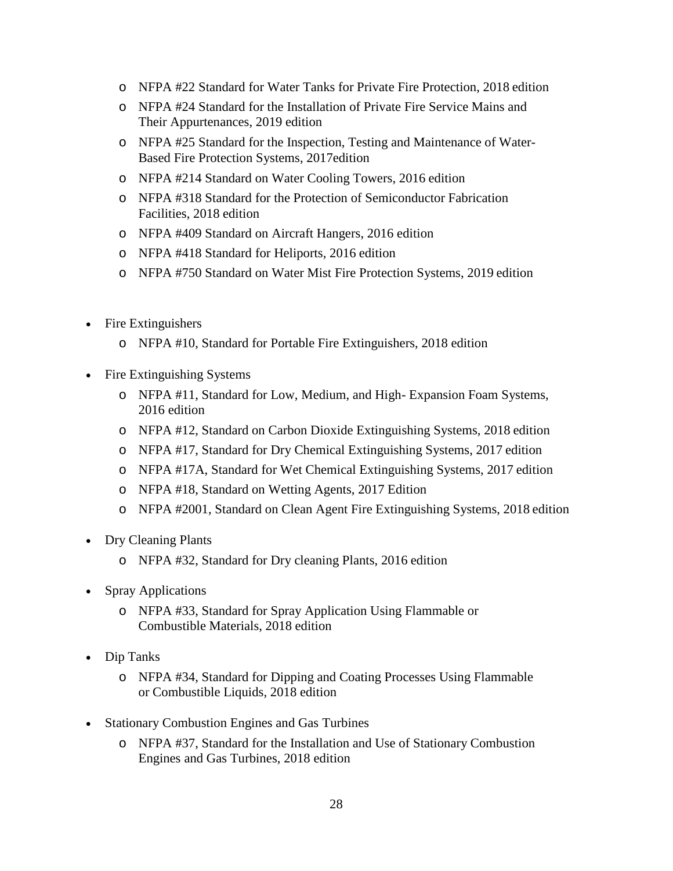- o NFPA #22 Standard for Water Tanks for Private Fire Protection, 2018 edition
- o NFPA #24 Standard for the Installation of Private Fire Service Mains and Their Appurtenances, 2019 edition
- o NFPA #25 Standard for the Inspection, Testing and Maintenance of Water-Based Fire Protection Systems, 2017edition
- o NFPA #214 Standard on Water Cooling Towers, 2016 edition
- o NFPA #318 Standard for the Protection of Semiconductor Fabrication Facilities, 2018 edition
- o NFPA #409 Standard on Aircraft Hangers, 2016 edition
- o NFPA #418 Standard for Heliports, 2016 edition
- o NFPA #750 Standard on Water Mist Fire Protection Systems, 2019 edition
- [Fire Extinguishers](http://www.maine.gov/sos/cec/rules/16/219/219c005.doc)
	- o NFPA #10, Standard for Portable Fire Extinguishers, 2018 edition
- [Fire Extinguishing](http://www.maine.gov/sos/cec/rules/16/219/219c006.doc) Systems
	- o NFPA #11, Standard for Low, Medium, and High- Expansion Foam Systems, 2016 edition
	- o NFPA #12, Standard on Carbon Dioxide Extinguishing Systems, 2018 edition
	- o NFPA #17, Standard for Dry Chemical Extinguishing Systems, 2017 edition
	- o NFPA #17A, Standard for Wet Chemical Extinguishing Systems, 2017 edition
	- o NFPA #18, Standard on Wetting Agents, 2017 Edition
	- o NFPA #2001, Standard on Clean Agent Fire Extinguishing Systems, 2018 edition
- [Dry Cleaning](http://www.maine.gov/sos/cec/rules/16/219/219c007.doc) Plants
	- o NFPA #32, Standard for Dry cleaning Plants, 2016 edition
- [Spray Applications](http://www.maine.gov/sos/cec/rules/16/219/219c008.doc)
	- o NFPA #33, Standard for Spray Application Using Flammable or Combustible Materials, 2018 edition
- Dip [Tanks](http://www.maine.gov/sos/cec/rules/16/219/219c009.doc)
	- o NFPA #34, Standard for Dipping and Coating Processes Using Flammable or Combustible Liquids, 2018 edition
- [Stationary Combustion Engines and Gas](http://www.maine.gov/sos/cec/rules/16/219/219c010.doc) Turbines
	- o NFPA #37, Standard for the Installation and Use of Stationary Combustion Engines and Gas Turbines, 2018 edition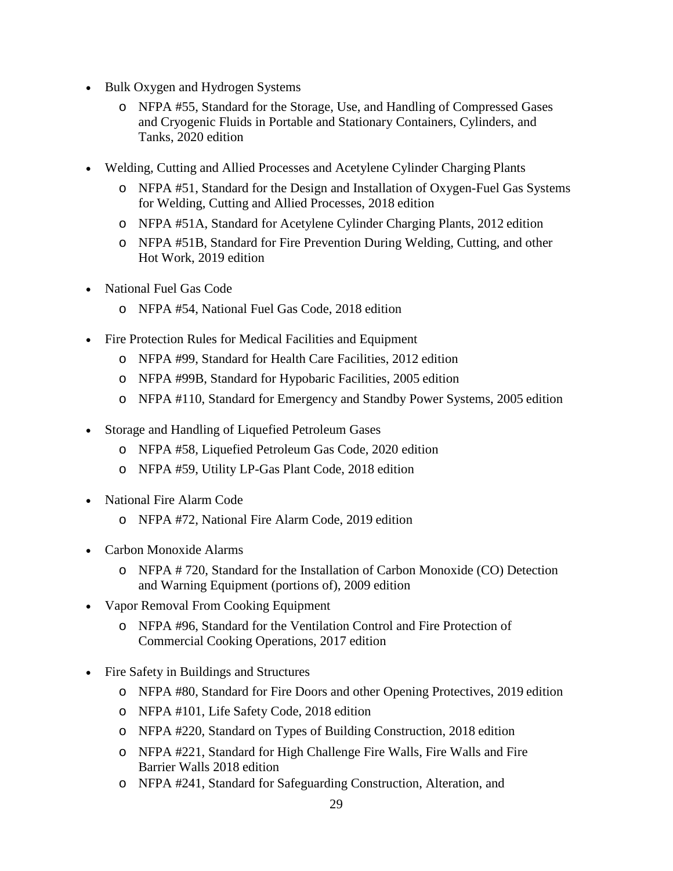- [Bulk Oxygen and Hydrogen](http://www.maine.gov/sos/cec/rules/16/219/219c011.doc) Systems
	- o NFPA #55, Standard for the Storage, Use, and Handling of Compressed Gases and Cryogenic Fluids in Portable and Stationary Containers, Cylinders, and Tanks, 2020 edition
- [Welding, Cutting and Allied Processes and Acetylene Cylinder Charging](http://www.maine.gov/sos/cec/rules/16/219/219c013.doc) Plants
	- o NFPA #51, Standard for the Design and Installation of Oxygen-Fuel Gas Systems for Welding, Cutting and Allied Processes, 2018 edition
	- o NFPA #51A, Standard for Acetylene Cylinder Charging Plants, 2012 edition
	- o NFPA #51B, Standard for Fire Prevention During Welding, Cutting, and other Hot Work, 2019 edition
- [National Fuel Gas](http://www.maine.gov/sos/cec/rules/16/219/219c014.doc) Code
	- o NFPA #54, National Fuel Gas Code, 2018 edition
- [Fire Protection Rules for Medical Facilities and Equipment](http://www.maine.gov/sos/cec/rules/16/219/219c015.doc)
	- o NFPA #99, Standard for Health Care Facilities, 2012 edition
	- o NFPA #99B, Standard for Hypobaric Facilities, 2005 edition
	- o NFPA #110, Standard for Emergency and Standby Power Systems, 2005 edition
- [Storage and Handling of Liquefied](http://www.maine.gov/sos/cec/rules/16/219/219c016.doc) Petroleum Gases
	- o NFPA #58, Liquefied Petroleum Gas Code, 2020 edition
	- o NFPA #59, Utility LP-Gas Plant Code, 2018 edition
- [National Fire Alarm Code](http://www.maine.gov/sos/cec/rules/16/219/219c017.doc)
	- o NFPA #72, National Fire Alarm Code, 2019 edition
- [Carbon Monoxide](http://www.maine.gov/sos/cec/rules/16/219/219c018.doc) Alarms
	- o NFPA # 720, Standard for the Installation of Carbon Monoxide (CO) Detection and Warning Equipment (portions of), 2009 edition
- [Vapor Removal From Cooking](http://www.maine.gov/sos/cec/rules/16/219/219c019.doc) Equipment
	- o NFPA #96, Standard for the Ventilation Control and Fire Protection of Commercial Cooking Operations, 2017 edition
- [Fire Safety in Buildings and](http://www.maine.gov/sos/cec/rules/16/219/219c020.doc) Structures
	- o NFPA #80, Standard for Fire Doors and other Opening Protectives, 2019 edition
	- o NFPA #101, Life Safety Code, 2018 edition
	- o NFPA #220, Standard on Types of Building Construction, 2018 edition
	- o NFPA #221, Standard for High Challenge Fire Walls, Fire Walls and Fire Barrier Walls 2018 edition
	- o NFPA #241, Standard for Safeguarding Construction, Alteration, and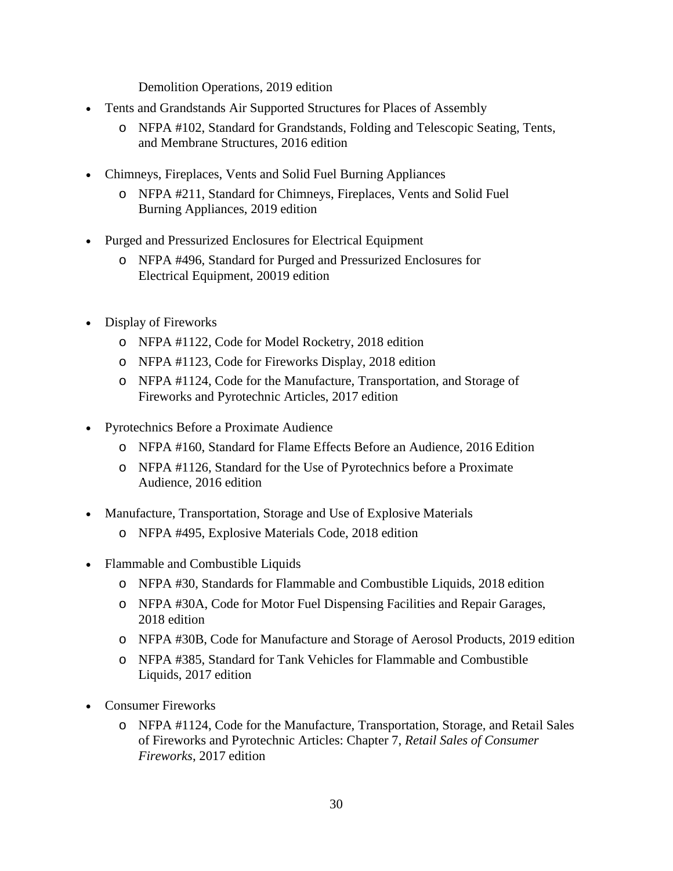Demolition Operations, 2019 edition

- [Tents and Grandstands Air Supported Structures for Places of Assembly](http://www.maine.gov/sos/cec/rules/16/219/219c021.doc)
	- o NFPA #102, Standard for Grandstands, Folding and Telescopic Seating, Tents, and Membrane Structures, 2016 edition
- [Chimneys, Fireplaces, Vents and Solid Fuel Burning](http://www.maine.gov/sos/cec/rules/16/219/219c022.doc) Appliances
	- o NFPA #211, Standard for Chimneys, Fireplaces, Vents and Solid Fuel Burning Appliances, 2019 edition
- [Purged and Pressurized Enclosures for Electrical](http://www.maine.gov/sos/cec/rules/16/219/219c023.doc) Equipment
	- o NFPA #496, Standard for Purged and Pressurized Enclosures for Electrical Equipment, 20019 edition
- [Display of](http://www.maine.gov/sos/cec/rules/16/219/219c025.doc) Fireworks
	- o NFPA #1122, Code for Model Rocketry, 2018 edition
	- o NFPA #1123, Code for Fireworks Display, 2018 edition
	- o NFPA #1124, Code for the Manufacture, Transportation, and Storage of Fireworks and Pyrotechnic Articles, 2017 edition
- [Pyrotechnics Before a Proximate](http://www.maine.gov/sos/cec/rules/16/219/219c026.doc) Audience
	- o NFPA #160, Standard for Flame Effects Before an Audience, 2016 Edition
	- o NFPA #1126, Standard for the Use of Pyrotechnics before a Proximate Audience, 2016 edition
- [Manufacture, Transportation, Storage and Use of Explosive](http://www.maine.gov/sos/cec/rules/16/219/219c031.doc) Materials
	- o NFPA #495, Explosive Materials Code, 2018 edition
- [Flammable and Combustible Liquids](http://www.maine.gov/sos/cec/rules/16/219/219c034.doc)
	- o NFPA #30, Standards for Flammable and Combustible Liquids, 2018 edition
	- o NFPA #30A, Code for Motor Fuel Dispensing Facilities and Repair Garages, 2018 edition
	- o NFPA #30B, Code for Manufacture and Storage of Aerosol Products, 2019 edition
	- o NFPA #385, Standard for Tank Vehicles for Flammable and Combustible Liquids, 2017 edition
- [Consumer](http://www.maine.gov/sos/cec/rules/16/219/219c036.doc) Fireworks
	- o NFPA #1124, Code for the Manufacture, Transportation, Storage, and Retail Sales of Fireworks and Pyrotechnic Articles: Chapter 7, *Retail Sales of Consumer Fireworks*, 2017 edition